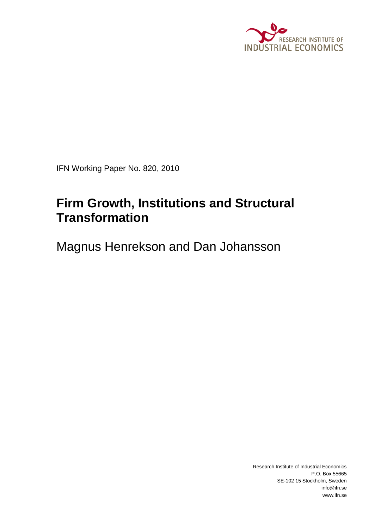

IFN Working Paper No. 820, 2010

## **Firm Growth, Institutions and Structural Transformation**

Magnus Henrekson and Dan Johansson

Research Institute of Industrial Economics P.O. Box 55665 SE-102 15 Stockholm, Sweden info@ifn.se www.ifn.se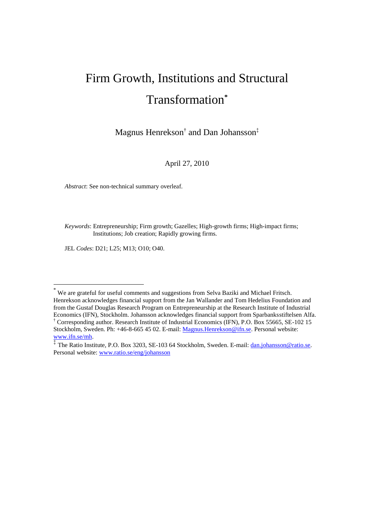# Firm Growth, Institutions and Structural Transformation**\***

Magnus Henrekson† and Dan Johansson‡

## April 27, 2010

*Abstract*: See non-technical summary overleaf.

*Keywords*: Entrepreneurship; Firm growth; Gazelles; High-growth firms; High-impact firms; Institutions; Job creation; Rapidly growing firms.

JEL *Codes*: D21; L25; M13; O10; O40.

1

We are grateful for useful comments and suggestions from Selva Baziki and Michael Fritsch. Henrekson acknowledges financial support from the Jan Wallander and Tom Hedelius Foundation and from the Gustaf Douglas Research Program on Entrepreneurship at the Research Institute of Industrial Economics (IFN), Stockholm. Johansson acknowledges financial support from Sparbanksstiftelsen Alfa. † Corresponding author. Research Institute of Industrial Economics (IFN), P.O. Box 55665, SE-102 15 Stockholm, Sweden. Ph: +46-8-665 45 02. E-mail[: Magnus.Henrekson@ifn.se.](mailto:Magnus.Henrekson@ifn.se) Personal website: [www.ifn.se/mh.](http://www.ifn.se/mh)

<sup>&</sup>lt;sup>‡</sup> The Ratio Institute, P.O. Box 3203, SE-103 64 Stockholm, Sweden. E-mail: **dan.johansson@ratio.se**. Personal website: [www.ratio.se/eng/johansson](http://www.ratio.se/eng/johansson)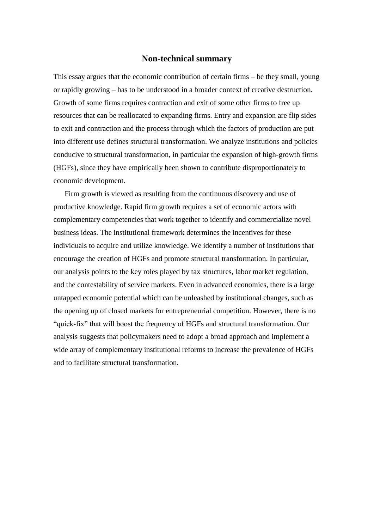## **Non-technical summary**

This essay argues that the economic contribution of certain firms – be they small, young or rapidly growing – has to be understood in a broader context of creative destruction. Growth of some firms requires contraction and exit of some other firms to free up resources that can be reallocated to expanding firms. Entry and expansion are flip sides to exit and contraction and the process through which the factors of production are put into different use defines structural transformation. We analyze institutions and policies conducive to structural transformation, in particular the expansion of high-growth firms (HGFs), since they have empirically been shown to contribute disproportionately to economic development.

Firm growth is viewed as resulting from the continuous discovery and use of productive knowledge. Rapid firm growth requires a set of economic actors with complementary competencies that work together to identify and commercialize novel business ideas. The institutional framework determines the incentives for these individuals to acquire and utilize knowledge. We identify a number of institutions that encourage the creation of HGFs and promote structural transformation. In particular, our analysis points to the key roles played by tax structures, labor market regulation, and the contestability of service markets. Even in advanced economies, there is a large untapped economic potential which can be unleashed by institutional changes, such as the opening up of closed markets for entrepreneurial competition. However, there is no ―quick-fix‖ that will boost the frequency of HGFs and structural transformation. Our analysis suggests that policymakers need to adopt a broad approach and implement a wide array of complementary institutional reforms to increase the prevalence of HGFs and to facilitate structural transformation.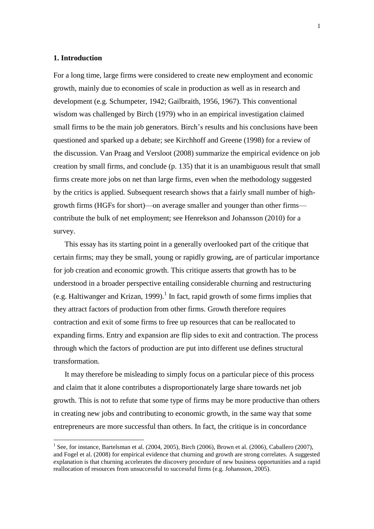#### **1. Introduction**

1

For a long time, large firms were considered to create new employment and economic growth, mainly due to economies of scale in production as well as in research and development (e.g. Schumpeter, 1942; Gailbraith, 1956, 1967). This conventional wisdom was challenged by Birch (1979) who in an empirical investigation claimed small firms to be the main job generators. Birch's results and his conclusions have been questioned and sparked up a debate; see Kirchhoff and Greene (1998) for a review of the discussion. Van Praag and Versloot (2008) summarize the empirical evidence on job creation by small firms, and conclude (p. 135) that it is an unambiguous result that small firms create more jobs on net than large firms, even when the methodology suggested by the critics is applied. Subsequent research shows that a fairly small number of highgrowth firms (HGFs for short)—on average smaller and younger than other firms contribute the bulk of net employment; see Henrekson and Johansson (2010) for a survey.

This essay has its starting point in a generally overlooked part of the critique that certain firms; may they be small, young or rapidly growing, are of particular importance for job creation and economic growth. This critique asserts that growth has to be understood in a broader perspective entailing considerable churning and restructuring (e.g. Haltiwanger and Krizan, 1999).<sup>1</sup> In fact, rapid growth of some firms implies that they attract factors of production from other firms. Growth therefore requires contraction and exit of some firms to free up resources that can be reallocated to expanding firms. Entry and expansion are flip sides to exit and contraction. The process through which the factors of production are put into different use defines structural transformation.

It may therefore be misleading to simply focus on a particular piece of this process and claim that it alone contributes a disproportionately large share towards net job growth. This is not to refute that some type of firms may be more productive than others in creating new jobs and contributing to economic growth, in the same way that some entrepreneurs are more successful than others. In fact, the critique is in concordance

<sup>&</sup>lt;sup>1</sup> See, for instance, Bartelsman et al. (2004, 2005), Birch (2006), Brown et al. (2006), Caballero (2007), and Fogel et al. (2008) for empirical evidence that churning and growth are strong correlates. A suggested explanation is that churning accelerates the discovery procedure of new business opportunities and a rapid reallocation of resources from unsuccessful to successful firms (e.g. Johansson, 2005).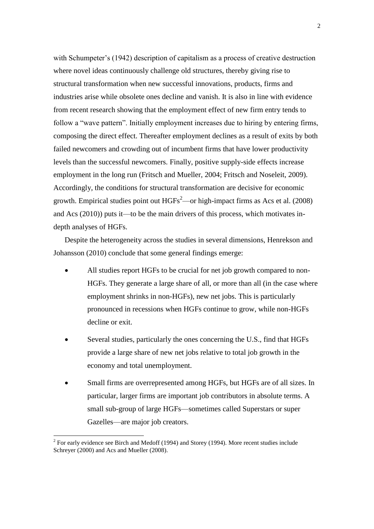with Schumpeter's (1942) description of capitalism as a process of creative destruction where novel ideas continuously challenge old structures, thereby giving rise to structural transformation when new successful innovations, products, firms and industries arise while obsolete ones decline and vanish. It is also in line with evidence from recent research showing that the employment effect of new firm entry tends to follow a "wave pattern". Initially employment increases due to hiring by entering firms, composing the direct effect. Thereafter employment declines as a result of exits by both failed newcomers and crowding out of incumbent firms that have lower productivity levels than the successful newcomers. Finally, positive supply-side effects increase employment in the long run (Fritsch and Mueller, 2004; Fritsch and Noseleit, 2009). Accordingly, the conditions for structural transformation are decisive for economic growth. Empirical studies point out  $HGFs<sup>2</sup>$ —or high-impact firms as Acs et al. (2008) and Acs (2010)) puts it—to be the main drivers of this process, which motivates indepth analyses of HGFs.

Despite the heterogeneity across the studies in several dimensions, Henrekson and Johansson (2010) conclude that some general findings emerge:

- All studies report HGFs to be crucial for net job growth compared to non-HGFs. They generate a large share of all, or more than all (in the case where employment shrinks in non-HGFs), new net jobs. This is particularly pronounced in recessions when HGFs continue to grow, while non-HGFs decline or exit.
- Several studies, particularly the ones concerning the U.S., find that HGFs provide a large share of new net jobs relative to total job growth in the economy and total unemployment.
- Small firms are overrepresented among HGFs, but HGFs are of all sizes. In particular, larger firms are important job contributors in absolute terms. A small sub-group of large HGFs—sometimes called Superstars or super Gazelles—are major job creators.

 $2^2$  For early evidence see Birch and Medoff (1994) and Storey (1994). More recent studies include Schreyer (2000) and Acs and Mueller (2008).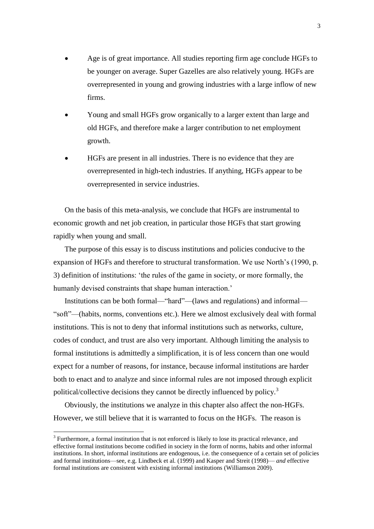- Age is of great importance. All studies reporting firm age conclude HGFs to be younger on average. Super Gazelles are also relatively young. HGFs are overrepresented in young and growing industries with a large inflow of new firms.
- Young and small HGFs grow organically to a larger extent than large and old HGFs, and therefore make a larger contribution to net employment growth.
- HGFs are present in all industries. There is no evidence that they are overrepresented in high-tech industries. If anything, HGFs appear to be overrepresented in service industries.

On the basis of this meta-analysis, we conclude that HGFs are instrumental to economic growth and net job creation, in particular those HGFs that start growing rapidly when young and small.

The purpose of this essay is to discuss institutions and policies conducive to the expansion of HGFs and therefore to structural transformation. We use North's (1990, p. 3) definition of institutions: 'the rules of the game in society, or more formally, the humanly devised constraints that shape human interaction.'

Institutions can be both formal—"hard"—(laws and regulations) and informal— "soft"—(habits, norms, conventions etc.). Here we almost exclusively deal with formal institutions. This is not to deny that informal institutions such as networks, culture, codes of conduct, and trust are also very important. Although limiting the analysis to formal institutions is admittedly a simplification, it is of less concern than one would expect for a number of reasons, for instance, because informal institutions are harder both to enact and to analyze and since informal rules are not imposed through explicit political/collective decisions they cannot be directly influenced by policy.<sup>3</sup>

Obviously, the institutions we analyze in this chapter also affect the non-HGFs. However, we still believe that it is warranted to focus on the HGFs. The reason is

<sup>&</sup>lt;sup>3</sup> Furthermore, a formal institution that is not enforced is likely to lose its practical relevance, and effective formal institutions become codified in society in the form of norms, habits and other informal institutions. In short, informal institutions are endogenous, i.e. the consequence of a certain set of policies and formal institutions—see, e.g. Lindbeck et al*.* (1999) and Kasper and Streit (1998)— *and* effective formal institutions are consistent with existing informal institutions (Williamson 2009).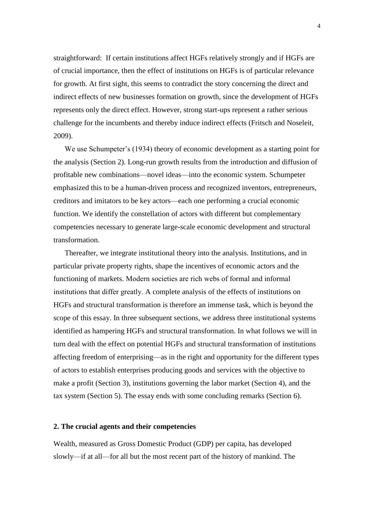straightforward: If certain institutions affect HGFs relatively strongly and if HGFs are of crucial importance, then the effect of institutions on HGFs is of particular relevance for growth. At first sight, this seems to contradict the story concerning the direct and indirect effects of new businesses formation on growth, since the development of HGFs represents only the direct effect. However, strong start-ups represent a rather serious challenge for the incumbents and thereby induce indirect effects (Fritsch and Noseleit, 2009).

We use Schumpeter's (1934) theory of economic development as a starting point for the analysis (Section 2). Long-run growth results from the introduction and diffusion of profitable new combinations—novel ideas—into the economic system. Schumpeter emphasized this to be a human-driven process and recognized inventors, entrepreneurs, creditors and imitators to be key actors—each one performing a crucial economic function. We identify the constellation of actors with different but complementary competencies necessary to generate large-scale economic development and structural transformation.

Thereafter, we integrate institutional theory into the analysis. Institutions, and in particular private property rights, shape the incentives of economic actors and the functioning of markets. Modern societies are rich webs of formal and informal institutions that differ greatly. A complete analysis of the effects of institutions on HGFs and structural transformation is therefore an immense task, which is beyond the scope of this essay. In three subsequent sections, we address three institutional systems identified as hampering HGFs and structural transformation. In what follows we will in turn deal with the effect on potential HGFs and structural transformation of institutions affecting freedom of enterprising—as in the right and opportunity for the different types of actors to establish enterprises producing goods and services with the objective to make a profit (Section 3), institutions governing the labor market (Section 4), and the tax system (Section 5). The essay ends with some concluding remarks (Section 6).

#### **2. The crucial agents and their competencies**

Wealth, measured as Gross Domestic Product (GDP) per capita, has developed slowly—if at all—for all but the most recent part of the history of mankind. The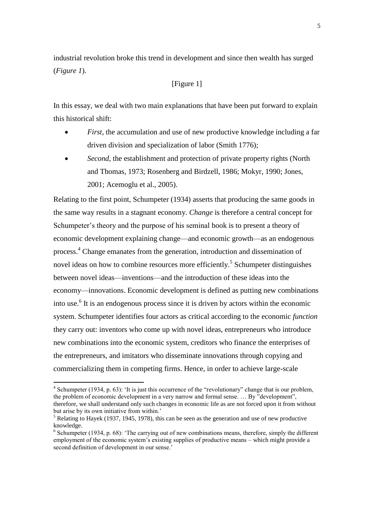industrial revolution broke this trend in development and since then wealth has surged (*Figure 1*).

## [Figure 1]

In this essay, we deal with two main explanations that have been put forward to explain this historical shift:

- *First*, the accumulation and use of new productive knowledge including a far driven division and specialization of labor (Smith 1776);
- *Second*, the establishment and protection of private property rights (North and Thomas, 1973; Rosenberg and Birdzell, 1986; Mokyr, 1990; Jones, 2001; Acemoglu et al., 2005).

Relating to the first point, Schumpeter (1934) asserts that producing the same goods in the same way results in a stagnant economy. *Change* is therefore a central concept for Schumpeter's theory and the purpose of his seminal book is to present a theory of economic development explaining change—and economic growth—as an endogenous process. <sup>4</sup> Change emanates from the generation, introduction and dissemination of novel ideas on how to combine resources more efficiently.<sup>5</sup> Schumpeter distinguishes between novel ideas—inventions—and the introduction of these ideas into the economy—innovations. Economic development is defined as putting new combinations into use.<sup>6</sup> It is an endogenous process since it is driven by actors within the economic system. Schumpeter identifies four actors as critical according to the economic *function* they carry out: inventors who come up with novel ideas, entrepreneurs who introduce new combinations into the economic system, creditors who finance the enterprises of the entrepreneurs, and imitators who disseminate innovations through copying and commercializing them in competing firms. Hence, in order to achieve large-scale

1

<sup>&</sup>lt;sup>4</sup> Schumpeter (1934, p. 63): 'It is just this occurrence of the "revolutionary" change that is our problem, the problem of economic development in a very narrow and formal sense. ... By "development", therefore, we shall understand only such changes in economic life as are not forced upon it from without but arise by its own initiative from within.'

 $<sup>5</sup>$  Relating to Hayek (1937, 1945, 1978), this can be seen as the generation and use of new productive</sup> knowledge.

<sup>&</sup>lt;sup>6</sup> Schumpeter (1934, p. 68): 'The carrying out of new combinations means, therefore, simply the different employment of the economic system's existing supplies of productive means – which might provide a second definition of development in our sense.'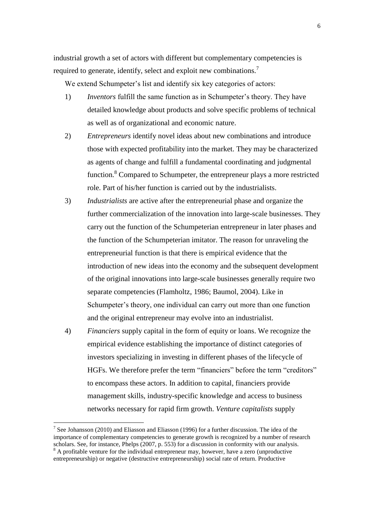industrial growth a set of actors with different but complementary competencies is required to generate, identify, select and exploit new combinations.<sup>7</sup>

We extend Schumpeter's list and identify six key categories of actors:

- 1) *Inventors* fulfill the same function as in Schumpeter's theory. They have detailed knowledge about products and solve specific problems of technical as well as of organizational and economic nature.
- 2) *Entrepreneurs* identify novel ideas about new combinations and introduce those with expected profitability into the market. They may be characterized as agents of change and fulfill a fundamental coordinating and judgmental function.<sup>8</sup> Compared to Schumpeter, the entrepreneur plays a more restricted role. Part of his/her function is carried out by the industrialists.
- 3) *Industrialists* are active after the entrepreneurial phase and organize the further commercialization of the innovation into large-scale businesses. They carry out the function of the Schumpeterian entrepreneur in later phases and the function of the Schumpeterian imitator. The reason for unraveling the entrepreneurial function is that there is empirical evidence that the introduction of new ideas into the economy and the subsequent development of the original innovations into large-scale businesses generally require two separate competencies (Flamholtz, 1986; Baumol, 2004). Like in Schumpeter's theory, one individual can carry out more than one function and the original entrepreneur may evolve into an industrialist.
- 4) *Financiers* supply capital in the form of equity or loans. We recognize the empirical evidence establishing the importance of distinct categories of investors specializing in investing in different phases of the lifecycle of HGFs. We therefore prefer the term "financiers" before the term "creditors" to encompass these actors. In addition to capital, financiers provide management skills, industry-specific knowledge and access to business networks necessary for rapid firm growth. *Venture capitalists* supply

<sup>&</sup>lt;sup>7</sup> See Johansson (2010) and Eliasson and Eliasson (1996) for a further discussion. The idea of the importance of complementary competencies to generate growth is recognized by a number of research scholars. See, for instance, Phelps (2007, p. 553) for a discussion in conformity with our analysis.  $8$  A profitable venture for the individual entrepreneur may, however, have a zero (unproductive entrepreneurship) or negative (destructive entrepreneurship) social rate of return. Productive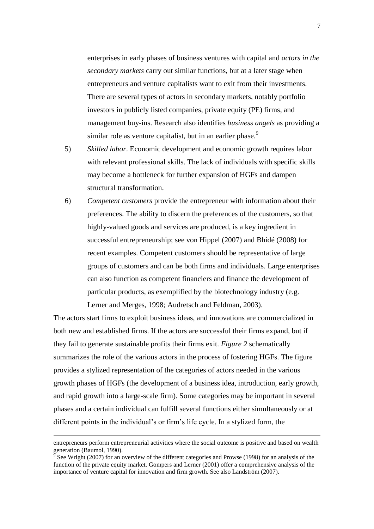enterprises in early phases of business ventures with capital and *actors in the secondary markets* carry out similar functions, but at a later stage when entrepreneurs and venture capitalists want to exit from their investments. There are several types of actors in secondary markets, notably portfolio investors in publicly listed companies, private equity (PE) firms, and management buy-ins. Research also identifies *business angels* as providing a similar role as venture capitalist, but in an earlier phase.<sup>9</sup>

- 5) *Skilled labor*. Economic development and economic growth requires labor with relevant professional skills. The lack of individuals with specific skills may become a bottleneck for further expansion of HGFs and dampen structural transformation.
- 6) *Competent customers* provide the entrepreneur with information about their preferences. The ability to discern the preferences of the customers, so that highly-valued goods and services are produced, is a key ingredient in successful entrepreneurship; see von Hippel (2007) and Bhidé (2008) for recent examples. Competent customers should be representative of large groups of customers and can be both firms and individuals. Large enterprises can also function as competent financiers and finance the development of particular products, as exemplified by the biotechnology industry (e.g. Lerner and Merges, 1998; Audretsch and Feldman, 2003).

The actors start firms to exploit business ideas, and innovations are commercialized in both new and established firms. If the actors are successful their firms expand, but if they fail to generate sustainable profits their firms exit. *Figure 2* schematically summarizes the role of the various actors in the process of fostering HGFs. The figure provides a stylized representation of the categories of actors needed in the various growth phases of HGFs (the development of a business idea, introduction, early growth, and rapid growth into a large-scale firm). Some categories may be important in several phases and a certain individual can fulfill several functions either simultaneously or at different points in the individual's or firm's life cycle. In a stylized form, the

1

entrepreneurs perform entrepreneurial activities where the social outcome is positive and based on wealth generation (Baumol, 1990).

<sup>9</sup> See Wright (2007) for an overview of the different categories and Prowse (1998) for an analysis of the function of the private equity market. Gompers and Lerner (2001) offer a comprehensive analysis of the importance of venture capital for innovation and firm growth. See also Landström (2007).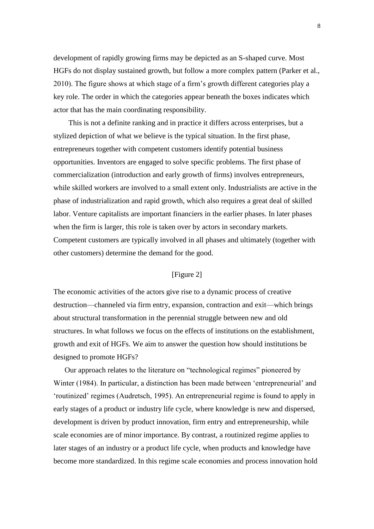development of rapidly growing firms may be depicted as an S-shaped curve. Most HGFs do not display sustained growth, but follow a more complex pattern (Parker et al., 2010). The figure shows at which stage of a firm's growth different categories play a key role. The order in which the categories appear beneath the boxes indicates which actor that has the main coordinating responsibility.

This is not a definite ranking and in practice it differs across enterprises, but a stylized depiction of what we believe is the typical situation. In the first phase, entrepreneurs together with competent customers identify potential business opportunities. Inventors are engaged to solve specific problems. The first phase of commercialization (introduction and early growth of firms) involves entrepreneurs, while skilled workers are involved to a small extent only. Industrialists are active in the phase of industrialization and rapid growth, which also requires a great deal of skilled labor. Venture capitalists are important financiers in the earlier phases. In later phases when the firm is larger, this role is taken over by actors in secondary markets. Competent customers are typically involved in all phases and ultimately (together with other customers) determine the demand for the good.

## [Figure 2]

The economic activities of the actors give rise to a dynamic process of creative destruction—channeled via firm entry, expansion, contraction and exit—which brings about structural transformation in the perennial struggle between new and old structures. In what follows we focus on the effects of institutions on the establishment, growth and exit of HGFs. We aim to answer the question how should institutions be designed to promote HGFs?

Our approach relates to the literature on "technological regimes" pioneered by Winter (1984). In particular, a distinction has been made between 'entrepreneurial' and ‗routinized' regimes (Audretsch, 1995). An entrepreneurial regime is found to apply in early stages of a product or industry life cycle, where knowledge is new and dispersed, development is driven by product innovation, firm entry and entrepreneurship, while scale economies are of minor importance. By contrast, a routinized regime applies to later stages of an industry or a product life cycle, when products and knowledge have become more standardized. In this regime scale economies and process innovation hold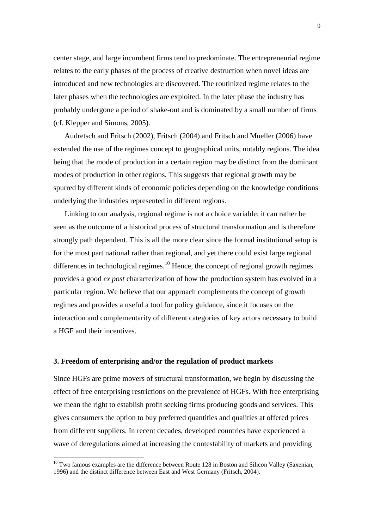center stage, and large incumbent firms tend to predominate. The entrepreneurial regime relates to the early phases of the process of creative destruction when novel ideas are introduced and new technologies are discovered. The routinized regime relates to the later phases when the technologies are exploited. In the later phase the industry has probably undergone a period of shake-out and is dominated by a small number of firms (cf. Klepper and Simons, 2005).

Audretsch and Fritsch (2002), Fritsch (2004) and Fritsch and Mueller (2006) have extended the use of the regimes concept to geographical units, notably regions. The idea being that the mode of production in a certain region may be distinct from the dominant modes of production in other regions. This suggests that regional growth may be spurred by different kinds of economic policies depending on the knowledge conditions underlying the industries represented in different regions.

Linking to our analysis, regional regime is not a choice variable; it can rather be seen as the outcome of a historical process of structural transformation and is therefore strongly path dependent. This is all the more clear since the formal institutional setup is for the most part national rather than regional, and yet there could exist large regional differences in technological regimes.<sup>10</sup> Hence, the concept of regional growth regimes provides a good *ex post* characterization of how the production system has evolved in a particular region. We believe that our approach complements the concept of growth regimes and provides a useful a tool for policy guidance, since it focuses on the interaction and complementarity of different categories of key actors necessary to build a HGF and their incentives.

## **3. Freedom of enterprising and/or the regulation of product markets**

1

Since HGFs are prime movers of structural transformation, we begin by discussing the effect of free enterprising restrictions on the prevalence of HGFs. With free enterprising we mean the right to establish profit seeking firms producing goods and services. This gives consumers the option to buy preferred quantities and qualities at offered prices from different suppliers. In recent decades, developed countries have experienced a wave of deregulations aimed at increasing the contestability of markets and providing

 $10$  Two famous examples are the difference between Route 128 in Boston and Silicon Valley (Saxenian, 1996) and the distinct difference between East and West Germany (Fritsch, 2004).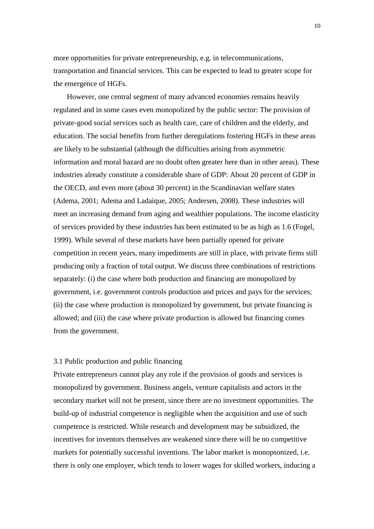more opportunities for private entrepreneurship, e.g. in telecommunications, transportation and financial services. This can be expected to lead to greater scope for the emergence of HGFs.

However, one central segment of many advanced economies remains heavily regulated and in some cases even monopolized by the public sector: The provision of private-good social services such as health care, care of children and the elderly, and education. The social benefits from further deregulations fostering HGFs in these areas are likely to be substantial (although the difficulties arising from asymmetric information and moral hazard are no doubt often greater here than in other areas). These industries already constitute a considerable share of GDP: About 20 percent of GDP in the OECD, and even more (about 30 percent) in the Scandinavian welfare states (Adema, 2001; Adema and Ladaique, 2005; Andersen, 2008). These industries will meet an increasing demand from aging and wealthier populations. The income elasticity of services provided by these industries has been estimated to be as high as 1.6 (Fogel, 1999). While several of these markets have been partially opened for private competition in recent years, many impediments are still in place, with private firms still producing only a fraction of total output. We discuss three combinations of restrictions separately: (i) the case where both production and financing are monopolized by government, i.e. government controls production and prices and pays for the services; (ii) the case where production is monopolized by government, but private financing is allowed; and (iii) the case where private production is allowed but financing comes from the government.

#### 3.1 Public production and public financing

Private entrepreneurs cannot play any role if the provision of goods and services is monopolized by government. Business angels, venture capitalists and actors in the secondary market will not be present, since there are no investment opportunities. The build-up of industrial competence is negligible when the acquisition and use of such competence is restricted. While research and development may be subsidized, the incentives for inventors themselves are weakened since there will be no competitive markets for potentially successful inventions. The labor market is monopsonized, i.e. there is only one employer, which tends to lower wages for skilled workers, inducing a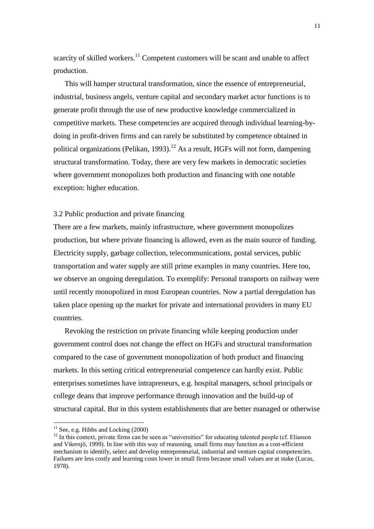scarcity of skilled workers.<sup>11</sup> Competent customers will be scant and unable to affect production.

This will hamper structural transformation, since the essence of entrepreneurial, industrial, business angels, venture capital and secondary market actor functions is to generate profit through the use of new productive knowledge commercialized in competitive markets. These competencies are acquired through individual learning-bydoing in profit-driven firms and can rarely be substituted by competence obtained in political organizations (Pelikan, 1993).<sup>12</sup> As a result, HGFs will not form, dampening structural transformation. Today, there are very few markets in democratic societies where government monopolizes both production and financing with one notable exception: higher education.

## 3.2 Public production and private financing

There are a few markets, mainly infrastructure, where government monopolizes production, but where private financing is allowed, even as the main source of funding. Electricity supply, garbage collection, telecommunications, postal services, public transportation and water supply are still prime examples in many countries. Here too, we observe an ongoing deregulation. To exemplify: Personal transports on railway were until recently monopolized in most European countries. Now a partial deregulation has taken place opening up the market for private and international providers in many EU countries.

Revoking the restriction on private financing while keeping production under government control does not change the effect on HGFs and structural transformation compared to the case of government monopolization of both product and financing markets. In this setting critical entrepreneurial competence can hardly exist. Public enterprises sometimes have intrapreneurs, e.g. hospital managers, school principals or college deans that improve performance through innovation and the build-up of structural capital. But in this system establishments that are better managed or otherwise

 $11$  See, e.g. Hibbs and Locking (2000)

<sup>&</sup>lt;sup>12</sup> In this context, private firms can be seen as "universities" for educating talented people (cf. Eliasson and Vikersjö, 1999). In line with this way of reasoning, small firms may function as a cost-efficient mechanism to identify, select and develop entrepreneurial, industrial and venture capital competencies. Failures are less costly and learning costs lower in small firms because small values are at stake (Lucas, 1978).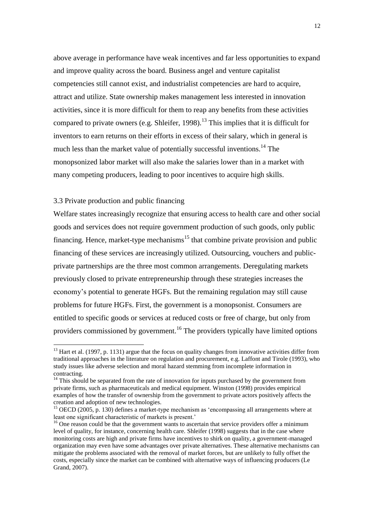above average in performance have weak incentives and far less opportunities to expand and improve quality across the board. Business angel and venture capitalist competencies still cannot exist, and industrialist competencies are hard to acquire, attract and utilize. State ownership makes management less interested in innovation activities, since it is more difficult for them to reap any benefits from these activities compared to private owners (e.g. Shleifer, 1998).<sup>13</sup> This implies that it is difficult for inventors to earn returns on their efforts in excess of their salary, which in general is much less than the market value of potentially successful inventions.<sup>14</sup> The monopsonized labor market will also make the salaries lower than in a market with many competing producers, leading to poor incentives to acquire high skills.

## 3.3 Private production and public financing

1

Welfare states increasingly recognize that ensuring access to health care and other social goods and services does not require government production of such goods, only public financing. Hence, market-type mechanisms<sup>15</sup> that combine private provision and public financing of these services are increasingly utilized. Outsourcing, vouchers and publicprivate partnerships are the three most common arrangements. Deregulating markets previously closed to private entrepreneurship through these strategies increases the economy's potential to generate HGFs. But the remaining regulation may still cause problems for future HGFs. First, the government is a monopsonist. Consumers are entitled to specific goods or services at reduced costs or free of charge, but only from providers commissioned by government.<sup>16</sup> The providers typically have limited options

<sup>&</sup>lt;sup>13</sup> Hart et al. (1997, p. 1131) argue that the focus on quality changes from innovative activities differ from traditional approaches in the literature on regulation and procurement, e.g. Laffont and Tirole (1993), who study issues like adverse selection and moral hazard stemming from incomplete information in contracting.

<sup>&</sup>lt;sup>14</sup> This should be separated from the rate of innovation for inputs purchased by the government from private firms, such as pharmaceuticals and medical equipment. Winston (1998) provides empirical examples of how the transfer of ownership from the government to private actors positively affects the creation and adoption of new technologies.

<sup>&</sup>lt;sup>15</sup> OECD (2005, p. 130) defines a market-type mechanism as 'encompassing all arrangements where at least one significant characteristic of markets is present.'

 $16$  One reason could be that the government wants to ascertain that service providers offer a minimum level of quality, for instance, concerning health care. Shleifer (1998) suggests that in the case where monitoring costs are high and private firms have incentives to shirk on quality, a government-managed organization may even have some advantages over private alternatives. These alternative mechanisms can mitigate the problems associated with the removal of market forces, but are unlikely to fully offset the costs, especially since the market can be combined with alternative ways of influencing producers (Le Grand, 2007).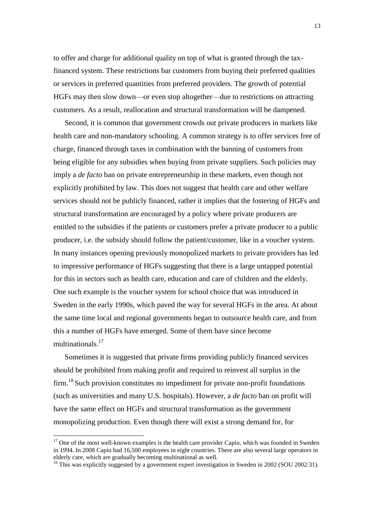to offer and charge for additional quality on top of what is granted through the taxfinanced system. These restrictions bar customers from buying their preferred qualities or services in preferred quantities from preferred providers. The growth of potential HGFs may then slow down—or even stop altogether—due to restrictions on attracting customers. As a result, reallocation and structural transformation will be dampened.

Second, it is common that government crowds out private producers in markets like health care and non-mandatory schooling. A common strategy is to offer services free of charge, financed through taxes in combination with the banning of customers from being eligible for any subsidies when buying from private suppliers. Such policies may imply a *de facto* ban on private entrepreneurship in these markets, even though not explicitly prohibited by law. This does not suggest that health care and other welfare services should not be publicly financed, rather it implies that the fostering of HGFs and structural transformation are encouraged by a policy where private producers are entitled to the subsidies if the patients or customers prefer a private producer to a public producer, i.e. the subsidy should follow the patient/customer, like in a voucher system. In many instances opening previously monopolized markets to private providers has led to impressive performance of HGFs suggesting that there is a large untapped potential for this in sectors such as health care, education and care of children and the elderly. One such example is the voucher system for school choice that was introduced in Sweden in the early 1990s, which paved the way for several HGFs in the area. At about the same time local and regional governments began to outsource health care, and from this a number of HGFs have emerged. Some of them have since become multinationals.<sup>17</sup>

Sometimes it is suggested that private firms providing publicly financed services should be prohibited from making profit and required to reinvest all surplus in the  $firm<sup>18</sup>$  Such provision constitutes no impediment for private non-profit foundations (such as universities and many U.S. hospitals). However, a *de facto* ban on profit will have the same effect on HGFs and structural transformation as the government monopolizing production. Even though there will exist a strong demand for, for

1

 $17$  One of the most well-known examples is the health care provider Capio, which was founded in Sweden in 1994. In 2008 Capio had 16,500 employees in eight countries. There are also several large operators in elderly care, which are gradually becoming multinational as well.

<sup>&</sup>lt;sup>18</sup> This was explicitly suggested by a government expert investigation in Sweden in 2002 (SOU 2002:31).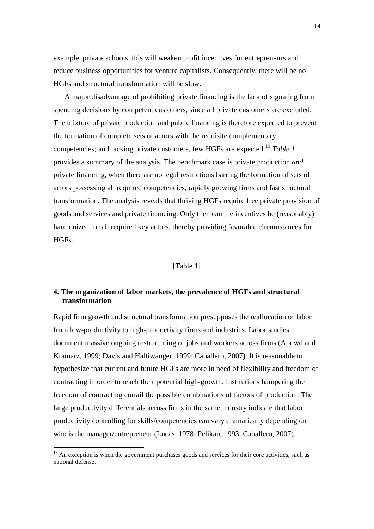example, private schools, this will weaken profit incentives for entrepreneurs and reduce business opportunities for venture capitalists. Consequently, there will be no HGFs and structural transformation will be slow.

A major disadvantage of prohibiting private financing is the lack of signaling from spending decisions by competent customers, since all private customers are excluded. The mixture of private production and public financing is therefore expected to prevent the formation of complete sets of actors with the requisite complementary competencies; and lacking private customers, few HGFs are expected.<sup>19</sup> *Table 1* provides a summary of the analysis. The benchmark case is private production *and* private financing, when there are no legal restrictions barring the formation of sets of actors possessing all required competencies, rapidly growing firms and fast structural transformation. The analysis reveals that thriving HGFs require free private provision of goods and services and private financing. Only then can the incentives be (reasonably) harmonized for all required key actors, thereby providing favorable circumstances for HGFs.

#### [Table 1]

## **4. The organization of labor markets, the prevalence of HGFs and structural transformation**

Rapid firm growth and structural transformation presupposes the reallocation of labor from low-productivity to high-productivity firms and industries. Labor studies document massive ongoing restructuring of jobs and workers across firms (Abowd and Kramarz, 1999; Davis and Haltiwanger, 1999; Caballero, 2007). It is reasonable to hypothesize that current and future HGFs are more in need of flexibility and freedom of contracting in order to reach their potential high-growth. Institutions hampering the freedom of contracting curtail the possible combinations of factors of production. The large productivity differentials across firms in the same industry indicate that labor productivity controlling for skills/competencies can vary dramatically depending on who is the manager/entrepreneur (Lucas, 1978; Pelikan, 1993; Caballero, 2007).

1

 $19$  An exception is when the government purchases goods and services for their core activities, such as national defense.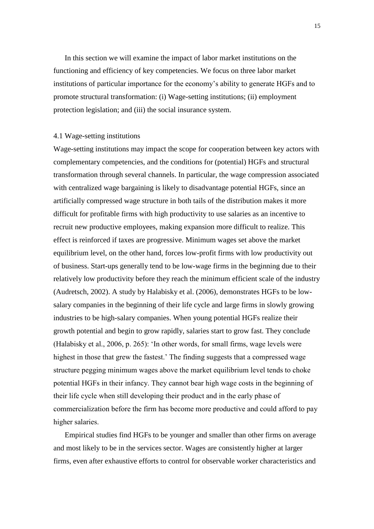In this section we will examine the impact of labor market institutions on the functioning and efficiency of key competencies. We focus on three labor market institutions of particular importance for the economy's ability to generate HGFs and to promote structural transformation: (i) Wage-setting institutions; (ii) employment protection legislation; and (iii) the social insurance system.

#### 4.1 Wage-setting institutions

Wage-setting institutions may impact the scope for cooperation between key actors with complementary competencies, and the conditions for (potential) HGFs and structural transformation through several channels. In particular, the wage compression associated with centralized wage bargaining is likely to disadvantage potential HGFs, since an artificially compressed wage structure in both tails of the distribution makes it more difficult for profitable firms with high productivity to use salaries as an incentive to recruit new productive employees, making expansion more difficult to realize. This effect is reinforced if taxes are progressive. Minimum wages set above the market equilibrium level, on the other hand, forces low-profit firms with low productivity out of business. Start-ups generally tend to be low-wage firms in the beginning due to their relatively low productivity before they reach the minimum efficient scale of the industry (Audretsch, 2002). A study by Halabisky et al. (2006), demonstrates HGFs to be lowsalary companies in the beginning of their life cycle and large firms in slowly growing industries to be high-salary companies. When young potential HGFs realize their growth potential and begin to grow rapidly, salaries start to grow fast. They conclude (Halabisky et al., 2006, p. 265): 'In other words, for small firms, wage levels were highest in those that grew the fastest.' The finding suggests that a compressed wage structure pegging minimum wages above the market equilibrium level tends to choke potential HGFs in their infancy. They cannot bear high wage costs in the beginning of their life cycle when still developing their product and in the early phase of commercialization before the firm has become more productive and could afford to pay higher salaries.

Empirical studies find HGFs to be younger and smaller than other firms on average and most likely to be in the services sector. Wages are consistently higher at larger firms, even after exhaustive efforts to control for observable worker characteristics and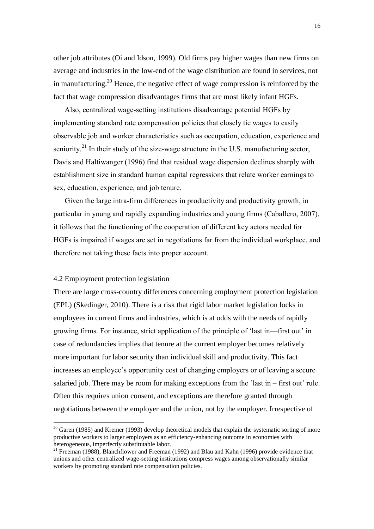other job attributes (Oi and Idson, 1999). Old firms pay higher wages than new firms on average and industries in the low-end of the wage distribution are found in services, not in manufacturing.<sup>20</sup> Hence, the negative effect of wage compression is reinforced by the fact that wage compression disadvantages firms that are most likely infant HGFs.

Also, centralized wage-setting institutions disadvantage potential HGFs by implementing standard rate compensation policies that closely tie wages to easily observable job and worker characteristics such as occupation, education, experience and seniority.<sup>21</sup> In their study of the size-wage structure in the U.S. manufacturing sector, Davis and Haltiwanger (1996) find that residual wage dispersion declines sharply with establishment size in standard human capital regressions that relate worker earnings to sex, education, experience, and job tenure.

Given the large intra-firm differences in productivity and productivity growth, in particular in young and rapidly expanding industries and young firms (Caballero, 2007), it follows that the functioning of the cooperation of different key actors needed for HGFs is impaired if wages are set in negotiations far from the individual workplace, and therefore not taking these facts into proper account.

## 4.2 Employment protection legislation

<u>.</u>

There are large cross-country differences concerning employment protection legislation (EPL) (Skedinger, 2010). There is a risk that rigid labor market legislation locks in employees in current firms and industries, which is at odds with the needs of rapidly growing firms. For instance, strict application of the principle of ‗last in—first out' in case of redundancies implies that tenure at the current employer becomes relatively more important for labor security than individual skill and productivity. This fact increases an employee's opportunity cost of changing employers or of leaving a secure salaried job. There may be room for making exceptions from the 'last in – first out' rule. Often this requires union consent, and exceptions are therefore granted through negotiations between the employer and the union, not by the employer. Irrespective of

 $20$  Garen (1985) and Kremer (1993) develop theoretical models that explain the systematic sorting of more productive workers to larger employers as an efficiency-enhancing outcome in economies with heterogeneous, imperfectly substitutable labor.

<sup>&</sup>lt;sup>21</sup> Freeman (1988), Blanchflower and Freeman (1992) and Blau and Kahn (1996) provide evidence that unions and other centralized wage-setting institutions compress wages among observationally similar workers by promoting standard rate compensation policies.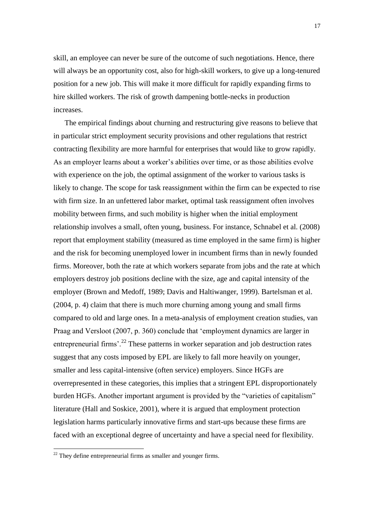skill, an employee can never be sure of the outcome of such negotiations. Hence, there will always be an opportunity cost, also for high-skill workers, to give up a long-tenured position for a new job. This will make it more difficult for rapidly expanding firms to hire skilled workers. The risk of growth dampening bottle-necks in production increases.

The empirical findings about churning and restructuring give reasons to believe that in particular strict employment security provisions and other regulations that restrict contracting flexibility are more harmful for enterprises that would like to grow rapidly. As an employer learns about a worker's abilities over time, or as those abilities evolve with experience on the job, the optimal assignment of the worker to various tasks is likely to change. The scope for task reassignment within the firm can be expected to rise with firm size. In an unfettered labor market, optimal task reassignment often involves mobility between firms, and such mobility is higher when the initial employment relationship involves a small, often young, business. For instance, Schnabel et al. (2008) report that employment stability (measured as time employed in the same firm) is higher and the risk for becoming unemployed lower in incumbent firms than in newly founded firms. Moreover, both the rate at which workers separate from jobs and the rate at which employers destroy job positions decline with the size, age and capital intensity of the employer (Brown and Medoff, 1989; Davis and Haltiwanger, 1999). Bartelsman et al. (2004, p. 4) claim that there is much more churning among young and small firms compared to old and large ones. In a meta-analysis of employment creation studies, van Praag and Versloot (2007, p. 360) conclude that 'employment dynamics are larger in entrepreneurial firms<sup> $22$ </sup> These patterns in worker separation and job destruction rates suggest that any costs imposed by EPL are likely to fall more heavily on younger, smaller and less capital-intensive (often service) employers. Since HGFs are overrepresented in these categories, this implies that a stringent EPL disproportionately burden HGFs. Another important argument is provided by the "varieties of capitalism" literature (Hall and Soskice, 2001), where it is argued that employment protection legislation harms particularly innovative firms and start-ups because these firms are faced with an exceptional degree of uncertainty and have a special need for flexibility.

1

 $22$  They define entrepreneurial firms as smaller and younger firms.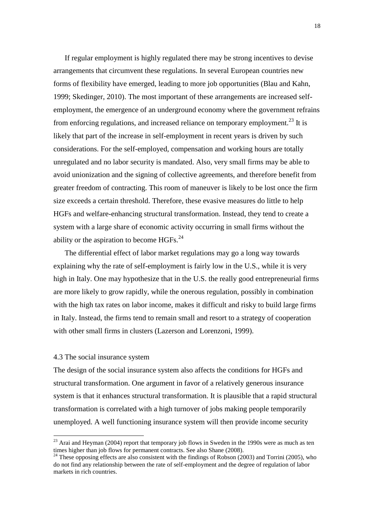If regular employment is highly regulated there may be strong incentives to devise arrangements that circumvent these regulations. In several European countries new forms of flexibility have emerged, leading to more job opportunities (Blau and Kahn, 1999; Skedinger, 2010). The most important of these arrangements are increased selfemployment, the emergence of an underground economy where the government refrains from enforcing regulations, and increased reliance on temporary employment.<sup>23</sup> It is likely that part of the increase in self-employment in recent years is driven by such considerations. For the self-employed, compensation and working hours are totally unregulated and no labor security is mandated. Also, very small firms may be able to avoid unionization and the signing of collective agreements, and therefore benefit from greater freedom of contracting. This room of maneuver is likely to be lost once the firm size exceeds a certain threshold. Therefore, these evasive measures do little to help HGFs and welfare-enhancing structural transformation. Instead, they tend to create a system with a large share of economic activity occurring in small firms without the ability or the aspiration to become HGFs.<sup>24</sup>

The differential effect of labor market regulations may go a long way towards explaining why the rate of self-employment is fairly low in the U.S., while it is very high in Italy. One may hypothesize that in the U.S. the really good entrepreneurial firms are more likely to grow rapidly, while the onerous regulation, possibly in combination with the high tax rates on labor income, makes it difficult and risky to build large firms in Italy. Instead, the firms tend to remain small and resort to a strategy of cooperation with other small firms in clusters (Lazerson and Lorenzoni, 1999).

#### 4.3 The social insurance system

1

The design of the social insurance system also affects the conditions for HGFs and structural transformation. One argument in favor of a relatively generous insurance system is that it enhances structural transformation. It is plausible that a rapid structural transformation is correlated with a high turnover of jobs making people temporarily unemployed. A well functioning insurance system will then provide income security

 $23$  Arai and Heyman (2004) report that temporary job flows in Sweden in the 1990s were as much as ten times higher than job flows for permanent contracts. See also Shane (2008).

<sup>&</sup>lt;sup>24</sup> These opposing effects are also consistent with the findings of Robson (2003) and Torrini (2005), who do not find any relationship between the rate of self-employment and the degree of regulation of labor markets in rich countries.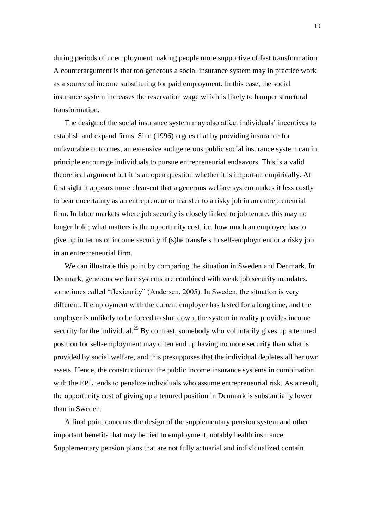during periods of unemployment making people more supportive of fast transformation. A counterargument is that too generous a social insurance system may in practice work as a source of income substituting for paid employment. In this case, the social insurance system increases the reservation wage which is likely to hamper structural transformation.

The design of the social insurance system may also affect individuals' incentives to establish and expand firms. Sinn (1996) argues that by providing insurance for unfavorable outcomes, an extensive and generous public social insurance system can in principle encourage individuals to pursue entrepreneurial endeavors. This is a valid theoretical argument but it is an open question whether it is important empirically. At first sight it appears more clear-cut that a generous welfare system makes it less costly to bear uncertainty as an entrepreneur or transfer to a risky job in an entrepreneurial firm. In labor markets where job security is closely linked to job tenure, this may no longer hold; what matters is the opportunity cost, i.e. how much an employee has to give up in terms of income security if (s)he transfers to self-employment or a risky job in an entrepreneurial firm.

We can illustrate this point by comparing the situation in Sweden and Denmark. In Denmark, generous welfare systems are combined with weak job security mandates, sometimes called "flexicurity" (Andersen, 2005). In Sweden, the situation is very different. If employment with the current employer has lasted for a long time, and the employer is unlikely to be forced to shut down, the system in reality provides income security for the individual.<sup>25</sup> By contrast, somebody who voluntarily gives up a tenured position for self-employment may often end up having no more security than what is provided by social welfare, and this presupposes that the individual depletes all her own assets. Hence, the construction of the public income insurance systems in combination with the EPL tends to penalize individuals who assume entrepreneurial risk. As a result, the opportunity cost of giving up a tenured position in Denmark is substantially lower than in Sweden.

A final point concerns the design of the supplementary pension system and other important benefits that may be tied to employment, notably health insurance. Supplementary pension plans that are not fully actuarial and individualized contain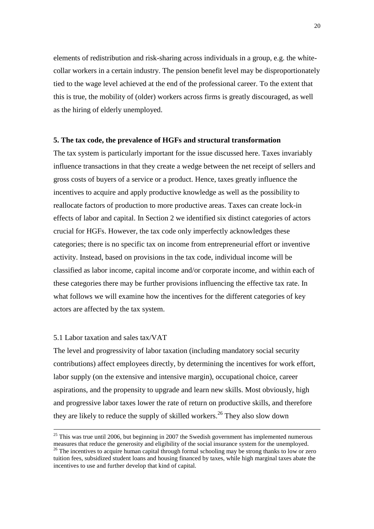elements of redistribution and risk-sharing across individuals in a group, e.g. the whitecollar workers in a certain industry. The pension benefit level may be disproportionately tied to the wage level achieved at the end of the professional career. To the extent that this is true, the mobility of (older) workers across firms is greatly discouraged, as well as the hiring of elderly unemployed.

#### **5. The tax code, the prevalence of HGFs and structural transformation**

The tax system is particularly important for the issue discussed here. Taxes invariably influence transactions in that they create a wedge between the net receipt of sellers and gross costs of buyers of a service or a product. Hence, taxes greatly influence the incentives to acquire and apply productive knowledge as well as the possibility to reallocate factors of production to more productive areas. Taxes can create lock-in effects of labor and capital. In Section 2 we identified six distinct categories of actors crucial for HGFs. However, the tax code only imperfectly acknowledges these categories; there is no specific tax on income from entrepreneurial effort or inventive activity. Instead, based on provisions in the tax code, individual income will be classified as labor income, capital income and/or corporate income, and within each of these categories there may be further provisions influencing the effective tax rate. In what follows we will examine how the incentives for the different categories of key actors are affected by the tax system.

#### 5.1 Labor taxation and sales tax/VAT

1

The level and progressivity of labor taxation (including mandatory social security contributions) affect employees directly, by determining the incentives for work effort, labor supply (on the extensive and intensive margin), occupational choice, career aspirations, and the propensity to upgrade and learn new skills. Most obviously, high and progressive labor taxes lower the rate of return on productive skills, and therefore they are likely to reduce the supply of skilled workers.<sup>26</sup> They also slow down

 $25$  This was true until 2006, but beginning in 2007 the Swedish government has implemented numerous measures that reduce the generosity and eligibility of the social insurance system for the unemployed. <sup>26</sup> The incentives to acquire human capital through formal schooling may be strong thanks to low or zero tuition fees, subsidized student loans and housing financed by taxes, while high marginal taxes abate the incentives to use and further develop that kind of capital.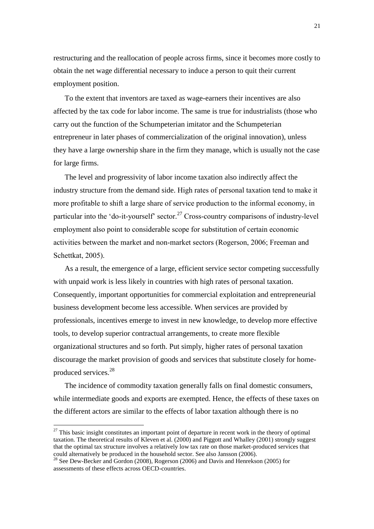restructuring and the reallocation of people across firms, since it becomes more costly to obtain the net wage differential necessary to induce a person to quit their current employment position.

To the extent that inventors are taxed as wage-earners their incentives are also affected by the tax code for labor income. The same is true for industrialists (those who carry out the function of the Schumpeterian imitator and the Schumpeterian entrepreneur in later phases of commercialization of the original innovation), unless they have a large ownership share in the firm they manage, which is usually not the case for large firms.

The level and progressivity of labor income taxation also indirectly affect the industry structure from the demand side. High rates of personal taxation tend to make it more profitable to shift a large share of service production to the informal economy, in particular into the 'do-it-yourself' sector.<sup>27</sup> Cross-country comparisons of industry-level employment also point to considerable scope for substitution of certain economic activities between the market and non-market sectors (Rogerson, 2006; Freeman and Schettkat, 2005).

As a result, the emergence of a large, efficient service sector competing successfully with unpaid work is less likely in countries with high rates of personal taxation. Consequently, important opportunities for commercial exploitation and entrepreneurial business development become less accessible. When services are provided by professionals, incentives emerge to invest in new knowledge, to develop more effective tools, to develop superior contractual arrangements, to create more flexible organizational structures and so forth. Put simply, higher rates of personal taxation discourage the market provision of goods and services that substitute closely for homeproduced services.<sup>28</sup>

The incidence of commodity taxation generally falls on final domestic consumers, while intermediate goods and exports are exempted. Hence, the effects of these taxes on the different actors are similar to the effects of labor taxation although there is no

 $27$  This basic insight constitutes an important point of departure in recent work in the theory of optimal taxation. The theoretical results of Kleven et al. (2000) and Piggott and Whalley (2001) strongly suggest that the optimal tax structure involves a relatively low tax rate on those market-produced services that could alternatively be produced in the household sector. See also Jansson (2006).

<sup>&</sup>lt;sup>28</sup> See Dew-Becker and Gordon (2008), Rogerson (2006) and Davis and Henrekson (2005) for assessments of these effects across OECD-countries.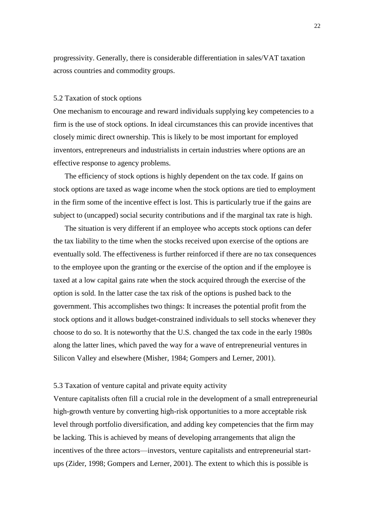progressivity. Generally, there is considerable differentiation in sales/VAT taxation across countries and commodity groups.

#### 5.2 Taxation of stock options

One mechanism to encourage and reward individuals supplying key competencies to a firm is the use of stock options. In ideal circumstances this can provide incentives that closely mimic direct ownership. This is likely to be most important for employed inventors, entrepreneurs and industrialists in certain industries where options are an effective response to agency problems.

The efficiency of stock options is highly dependent on the tax code. If gains on stock options are taxed as wage income when the stock options are tied to employment in the firm some of the incentive effect is lost. This is particularly true if the gains are subject to (uncapped) social security contributions and if the marginal tax rate is high.

The situation is very different if an employee who accepts stock options can defer the tax liability to the time when the stocks received upon exercise of the options are eventually sold. The effectiveness is further reinforced if there are no tax consequences to the employee upon the granting or the exercise of the option and if the employee is taxed at a low capital gains rate when the stock acquired through the exercise of the option is sold. In the latter case the tax risk of the options is pushed back to the government. This accomplishes two things: It increases the potential profit from the stock options and it allows budget-constrained individuals to sell stocks whenever they choose to do so. It is noteworthy that the U.S. changed the tax code in the early 1980s along the latter lines, which paved the way for a wave of entrepreneurial ventures in Silicon Valley and elsewhere (Misher, 1984; Gompers and Lerner, 2001).

## 5.3 Taxation of venture capital and private equity activity

Venture capitalists often fill a crucial role in the development of a small entrepreneurial high-growth venture by converting high-risk opportunities to a more acceptable risk level through portfolio diversification, and adding key competencies that the firm may be lacking. This is achieved by means of developing arrangements that align the incentives of the three actors—investors, venture capitalists and entrepreneurial startups (Zider, 1998; Gompers and Lerner, 2001). The extent to which this is possible is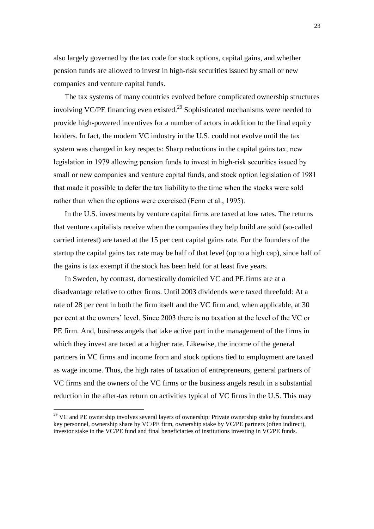also largely governed by the tax code for stock options, capital gains, and whether pension funds are allowed to invest in high-risk securities issued by small or new companies and venture capital funds.

The tax systems of many countries evolved before complicated ownership structures involving VC/PE financing even existed.<sup>29</sup> Sophisticated mechanisms were needed to provide high-powered incentives for a number of actors in addition to the final equity holders. In fact, the modern VC industry in the U.S. could not evolve until the tax system was changed in key respects: Sharp reductions in the capital gains tax, new legislation in 1979 allowing pension funds to invest in high-risk securities issued by small or new companies and venture capital funds, and stock option legislation of 1981 that made it possible to defer the tax liability to the time when the stocks were sold rather than when the options were exercised (Fenn et al., 1995).

In the U.S. investments by venture capital firms are taxed at low rates. The returns that venture capitalists receive when the companies they help build are sold (so-called carried interest) are taxed at the 15 per cent capital gains rate. For the founders of the startup the capital gains tax rate may be half of that level (up to a high cap), since half of the gains is tax exempt if the stock has been held for at least five years.

In Sweden, by contrast, domestically domiciled VC and PE firms are at a disadvantage relative to other firms. Until 2003 dividends were taxed threefold: At a rate of 28 per cent in both the firm itself and the VC firm and, when applicable, at 30 per cent at the owners' level. Since 2003 there is no taxation at the level of the VC or PE firm. And, business angels that take active part in the management of the firms in which they invest are taxed at a higher rate. Likewise, the income of the general partners in VC firms and income from and stock options tied to employment are taxed as wage income. Thus, the high rates of taxation of entrepreneurs, general partners of VC firms and the owners of the VC firms or the business angels result in a substantial reduction in the after-tax return on activities typical of VC firms in the U.S. This may

 $29$  VC and PE ownership involves several layers of ownership: Private ownership stake by founders and key personnel, ownership share by VC/PE firm, ownership stake by VC/PE partners (often indirect), investor stake in the VC/PE fund and final beneficiaries of institutions investing in VC/PE funds.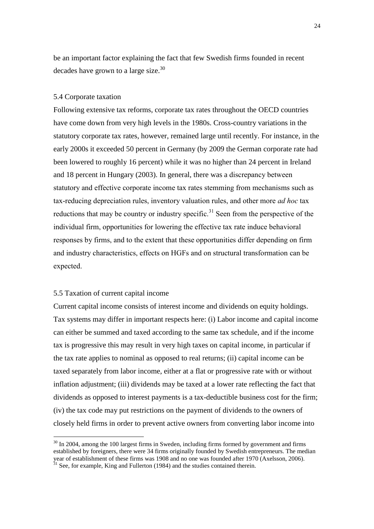be an important factor explaining the fact that few Swedish firms founded in recent decades have grown to a large size.<sup>30</sup>

#### 5.4 Corporate taxation

Following extensive tax reforms, corporate tax rates throughout the OECD countries have come down from very high levels in the 1980s. Cross-country variations in the statutory corporate tax rates, however, remained large until recently. For instance, in the early 2000s it exceeded 50 percent in Germany (by 2009 the German corporate rate had been lowered to roughly 16 percent) while it was no higher than 24 percent in Ireland and 18 percent in Hungary (2003). In general, there was a discrepancy between statutory and effective corporate income tax rates stemming from mechanisms such as tax-reducing depreciation rules, inventory valuation rules, and other more *ad hoc* tax reductions that may be country or industry specific.<sup>31</sup> Seen from the perspective of the individual firm, opportunities for lowering the effective tax rate induce behavioral responses by firms, and to the extent that these opportunities differ depending on firm and industry characteristics, effects on HGFs and on structural transformation can be expected.

## 5.5 Taxation of current capital income

1

Current capital income consists of interest income and dividends on equity holdings. Tax systems may differ in important respects here: (i) Labor income and capital income can either be summed and taxed according to the same tax schedule, and if the income tax is progressive this may result in very high taxes on capital income, in particular if the tax rate applies to nominal as opposed to real returns; (ii) capital income can be taxed separately from labor income, either at a flat or progressive rate with or without inflation adjustment; (iii) dividends may be taxed at a lower rate reflecting the fact that dividends as opposed to interest payments is a tax-deductible business cost for the firm; (iv) the tax code may put restrictions on the payment of dividends to the owners of closely held firms in order to prevent active owners from converting labor income into

 $30$  In 2004, among the 100 largest firms in Sweden, including firms formed by government and firms established by foreigners, there were 34 firms originally founded by Swedish entrepreneurs. The median year of establishment of these firms was 1908 and no one was founded after 1970 (Axelsson, 2006).  $31$  See, for example, King and Fullerton (1984) and the studies contained therein.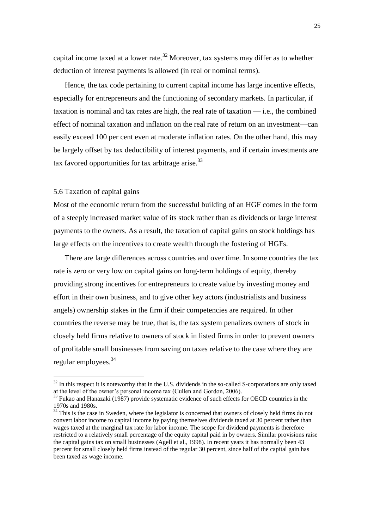capital income taxed at a lower rate.<sup>32</sup> Moreover, tax systems may differ as to whether deduction of interest payments is allowed (in real or nominal terms).

Hence, the tax code pertaining to current capital income has large incentive effects, especially for entrepreneurs and the functioning of secondary markets. In particular, if taxation is nominal and tax rates are high, the real rate of taxation — i.e., the combined effect of nominal taxation and inflation on the real rate of return on an investment—can easily exceed 100 per cent even at moderate inflation rates. On the other hand, this may be largely offset by tax deductibility of interest payments, and if certain investments are tax favored opportunities for tax arbitrage arise. $^{33}$ 

#### 5.6 Taxation of capital gains

<u>.</u>

Most of the economic return from the successful building of an HGF comes in the form of a steeply increased market value of its stock rather than as dividends or large interest payments to the owners. As a result, the taxation of capital gains on stock holdings has large effects on the incentives to create wealth through the fostering of HGFs.

There are large differences across countries and over time. In some countries the tax rate is zero or very low on capital gains on long-term holdings of equity, thereby providing strong incentives for entrepreneurs to create value by investing money and effort in their own business, and to give other key actors (industrialists and business angels) ownership stakes in the firm if their competencies are required. In other countries the reverse may be true, that is, the tax system penalizes owners of stock in closely held firms relative to owners of stock in listed firms in order to prevent owners of profitable small businesses from saving on taxes relative to the case where they are regular employees.<sup>34</sup>

 $32$  In this respect it is noteworthy that in the U.S. dividends in the so-called S-corporations are only taxed at the level of the owner's personal income tax (Cullen and Gordon, 2006).

<sup>&</sup>lt;sup>33</sup> Fukao and Hanazaki (1987) provide systematic evidence of such effects for OECD countries in the 1970s and 1980s.

 $34$  This is the case in Sweden, where the legislator is concerned that owners of closely held firms do not convert labor income to capital income by paying themselves dividends taxed at 30 percent rather than wages taxed at the marginal tax rate for labor income. The scope for dividend payments is therefore restricted to a relatively small percentage of the equity capital paid in by owners. Similar provisions raise the capital gains tax on small businesses (Agell et al., 1998). In recent years it has normally been 43 percent for small closely held firms instead of the regular 30 percent, since half of the capital gain has been taxed as wage income.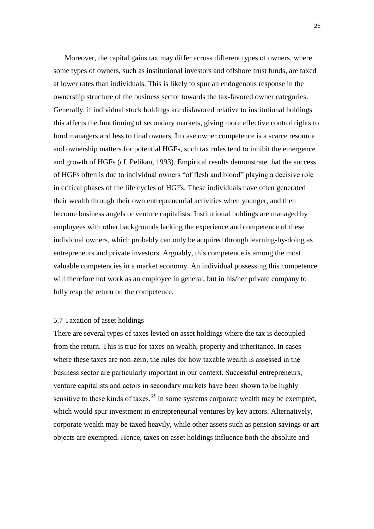Moreover, the capital gains tax may differ across different types of owners, where some types of owners, such as institutional investors and offshore trust funds, are taxed at lower rates than individuals. This is likely to spur an endogenous response in the ownership structure of the business sector towards the tax-favored owner categories. Generally, if individual stock holdings are disfavored relative to institutional holdings this affects the functioning of secondary markets, giving more effective control rights to fund managers and less to final owners. In case owner competence is a scarce resource and ownership matters for potential HGFs, such tax rules tend to inhibit the emergence and growth of HGFs (cf. Pelikan, 1993). Empirical results demonstrate that the success of HGFs often is due to individual owners "of flesh and blood" playing a decisive role in critical phases of the life cycles of HGFs. These individuals have often generated their wealth through their own entrepreneurial activities when younger, and then become business angels or venture capitalists. Institutional holdings are managed by employees with other backgrounds lacking the experience and competence of these individual owners, which probably can only be acquired through learning-by-doing as entrepreneurs and private investors. Arguably, this competence is among the most valuable competencies in a market economy. An individual possessing this competence will therefore not work as an employee in general, but in his/her private company to fully reap the return on the competence.

#### 5.7 Taxation of asset holdings

There are several types of taxes levied on asset holdings where the tax is decoupled from the return. This is true for taxes on wealth, property and inheritance. In cases where these taxes are non-zero, the rules for how taxable wealth is assessed in the business sector are particularly important in our context. Successful entrepreneurs, venture capitalists and actors in secondary markets have been shown to be highly sensitive to these kinds of taxes.<sup>35</sup> In some systems corporate wealth may be exempted, which would spur investment in entrepreneurial ventures by key actors. Alternatively, corporate wealth may be taxed heavily, while other assets such as pension savings or art objects are exempted. Hence, taxes on asset holdings influence both the absolute and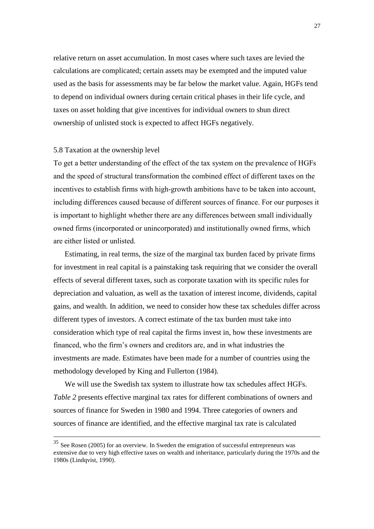relative return on asset accumulation. In most cases where such taxes are levied the calculations are complicated; certain assets may be exempted and the imputed value used as the basis for assessments may be far below the market value. Again, HGFs tend to depend on individual owners during certain critical phases in their life cycle, and taxes on asset holding that give incentives for individual owners to shun direct ownership of unlisted stock is expected to affect HGFs negatively.

#### 5.8 Taxation at the ownership level

1

To get a better understanding of the effect of the tax system on the prevalence of HGFs and the speed of structural transformation the combined effect of different taxes on the incentives to establish firms with high-growth ambitions have to be taken into account, including differences caused because of different sources of finance. For our purposes it is important to highlight whether there are any differences between small individually owned firms (incorporated or unincorporated) and institutionally owned firms, which are either listed or unlisted.

Estimating, in real terms, the size of the marginal tax burden faced by private firms for investment in real capital is a painstaking task requiring that we consider the overall effects of several different taxes, such as corporate taxation with its specific rules for depreciation and valuation, as well as the taxation of interest income, dividends, capital gains, and wealth. In addition, we need to consider how these tax schedules differ across different types of investors. A correct estimate of the tax burden must take into consideration which type of real capital the firms invest in, how these investments are financed, who the firm's owners and creditors are, and in what industries the investments are made. Estimates have been made for a number of countries using the methodology developed by King and Fullerton (1984).

We will use the Swedish tax system to illustrate how tax schedules affect HGFs. *Table 2* presents effective marginal tax rates for different combinations of owners and sources of finance for Sweden in 1980 and 1994. Three categories of owners and sources of finance are identified, and the effective marginal tax rate is calculated

 $35$  See Rosen (2005) for an overview. In Sweden the emigration of successful entrepreneurs was extensive due to very high effective taxes on wealth and inheritance, particularly during the 1970s and the 1980s (Lindqvist, 1990).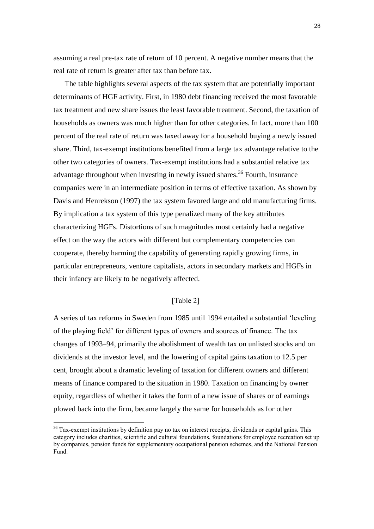assuming a real pre-tax rate of return of 10 percent. A negative number means that the real rate of return is greater after tax than before tax.

The table highlights several aspects of the tax system that are potentially important determinants of HGF activity. First, in 1980 debt financing received the most favorable tax treatment and new share issues the least favorable treatment. Second, the taxation of households as owners was much higher than for other categories. In fact, more than 100 percent of the real rate of return was taxed away for a household buying a newly issued share. Third, tax-exempt institutions benefited from a large tax advantage relative to the other two categories of owners. Tax-exempt institutions had a substantial relative tax advantage throughout when investing in newly issued shares.<sup>36</sup> Fourth, insurance companies were in an intermediate position in terms of effective taxation. As shown by Davis and Henrekson (1997) the tax system favored large and old manufacturing firms. By implication a tax system of this type penalized many of the key attributes characterizing HGFs. Distortions of such magnitudes most certainly had a negative effect on the way the actors with different but complementary competencies can cooperate, thereby harming the capability of generating rapidly growing firms, in particular entrepreneurs, venture capitalists, actors in secondary markets and HGFs in their infancy are likely to be negatively affected.

## [Table 2]

A series of tax reforms in Sweden from 1985 until 1994 entailed a substantial ‗leveling of the playing field' for different types of owners and sources of finance. The tax changes of 1993–94, primarily the abolishment of wealth tax on unlisted stocks and on dividends at the investor level, and the lowering of capital gains taxation to 12.5 per cent, brought about a dramatic leveling of taxation for different owners and different means of finance compared to the situation in 1980. Taxation on financing by owner equity, regardless of whether it takes the form of a new issue of shares or of earnings plowed back into the firm, became largely the same for households as for other

<sup>&</sup>lt;sup>36</sup> Tax-exempt institutions by definition pay no tax on interest receipts, dividends or capital gains. This category includes charities, scientific and cultural foundations, foundations for employee recreation set up by companies, pension funds for supplementary occupational pension schemes, and the National Pension Fund.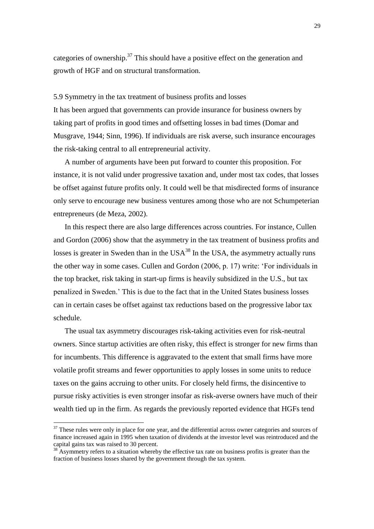categories of ownership. $37$  This should have a positive effect on the generation and growth of HGF and on structural transformation.

5.9 Symmetry in the tax treatment of business profits and losses It has been argued that governments can provide insurance for business owners by taking part of profits in good times and offsetting losses in bad times (Domar and Musgrave, 1944; Sinn, 1996). If individuals are risk averse, such insurance encourages the risk-taking central to all entrepreneurial activity.

A number of arguments have been put forward to counter this proposition. For instance, it is not valid under progressive taxation and, under most tax codes, that losses be offset against future profits only. It could well be that misdirected forms of insurance only serve to encourage new business ventures among those who are not Schumpeterian entrepreneurs (de Meza, 2002).

In this respect there are also large differences across countries. For instance, Cullen and Gordon (2006) show that the asymmetry in the tax treatment of business profits and losses is greater in Sweden than in the  $USA^{38}$  In the USA, the asymmetry actually runs the other way in some cases. Cullen and Gordon (2006, p. 17) write: 'For individuals in the top bracket, risk taking in start-up firms is heavily subsidized in the U.S., but tax penalized in Sweden.' This is due to the fact that in the United States business losses can in certain cases be offset against tax reductions based on the progressive labor tax schedule.

The usual tax asymmetry discourages risk-taking activities even for risk-neutral owners. Since startup activities are often risky, this effect is stronger for new firms than for incumbents. This difference is aggravated to the extent that small firms have more volatile profit streams and fewer opportunities to apply losses in some units to reduce taxes on the gains accruing to other units. For closely held firms, the disincentive to pursue risky activities is even stronger insofar as risk-averse owners have much of their wealth tied up in the firm. As regards the previously reported evidence that HGFs tend

<sup>&</sup>lt;sup>37</sup> These rules were only in place for one year, and the differential across owner categories and sources of finance increased again in 1995 when taxation of dividends at the investor level was reintroduced and the capital gains tax was raised to 30 percent.

 $\frac{38}{38}$  Asymmetry refers to a situation whereby the effective tax rate on business profits is greater than the fraction of business losses shared by the government through the tax system.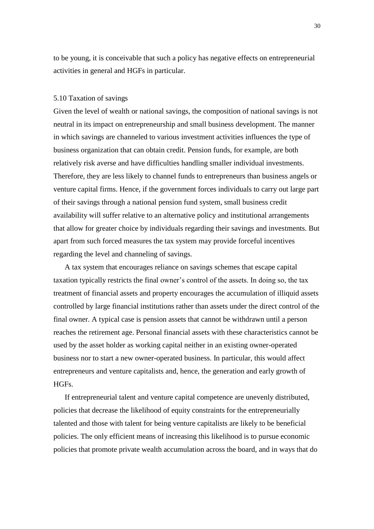to be young, it is conceivable that such a policy has negative effects on entrepreneurial activities in general and HGFs in particular.

#### 5.10 Taxation of savings

Given the level of wealth or national savings, the composition of national savings is not neutral in its impact on entrepreneurship and small business development. The manner in which savings are channeled to various investment activities influences the type of business organization that can obtain credit. Pension funds, for example, are both relatively risk averse and have difficulties handling smaller individual investments. Therefore, they are less likely to channel funds to entrepreneurs than business angels or venture capital firms. Hence, if the government forces individuals to carry out large part of their savings through a national pension fund system, small business credit availability will suffer relative to an alternative policy and institutional arrangements that allow for greater choice by individuals regarding their savings and investments. But apart from such forced measures the tax system may provide forceful incentives regarding the level and channeling of savings.

A tax system that encourages reliance on savings schemes that escape capital taxation typically restricts the final owner's control of the assets. In doing so, the tax treatment of financial assets and property encourages the accumulation of illiquid assets controlled by large financial institutions rather than assets under the direct control of the final owner. A typical case is pension assets that cannot be withdrawn until a person reaches the retirement age. Personal financial assets with these characteristics cannot be used by the asset holder as working capital neither in an existing owner-operated business nor to start a new owner-operated business. In particular, this would affect entrepreneurs and venture capitalists and, hence, the generation and early growth of HGFs.

If entrepreneurial talent and venture capital competence are unevenly distributed, policies that decrease the likelihood of equity constraints for the entrepreneurially talented and those with talent for being venture capitalists are likely to be beneficial policies. The only efficient means of increasing this likelihood is to pursue economic policies that promote private wealth accumulation across the board, and in ways that do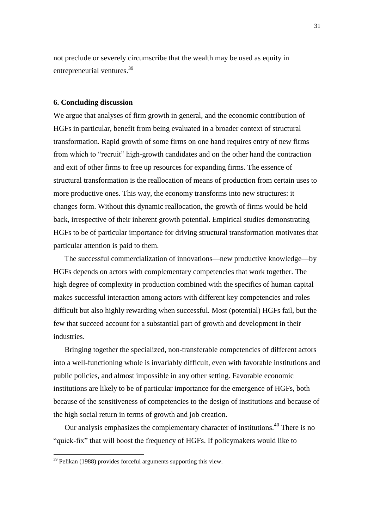not preclude or severely circumscribe that the wealth may be used as equity in entrepreneurial ventures.<sup>39</sup>

#### **6. Concluding discussion**

We argue that analyses of firm growth in general, and the economic contribution of HGFs in particular, benefit from being evaluated in a broader context of structural transformation. Rapid growth of some firms on one hand requires entry of new firms from which to "recruit" high-growth candidates and on the other hand the contraction and exit of other firms to free up resources for expanding firms. The essence of structural transformation is the reallocation of means of production from certain uses to more productive ones. This way, the economy transforms into new structures: it changes form. Without this dynamic reallocation, the growth of firms would be held back, irrespective of their inherent growth potential. Empirical studies demonstrating HGFs to be of particular importance for driving structural transformation motivates that particular attention is paid to them.

The successful commercialization of innovations—new productive knowledge—by HGFs depends on actors with complementary competencies that work together. The high degree of complexity in production combined with the specifics of human capital makes successful interaction among actors with different key competencies and roles difficult but also highly rewarding when successful. Most (potential) HGFs fail, but the few that succeed account for a substantial part of growth and development in their industries.

Bringing together the specialized, non-transferable competencies of different actors into a well-functioning whole is invariably difficult, even with favorable institutions and public policies, and almost impossible in any other setting. Favorable economic institutions are likely to be of particular importance for the emergence of HGFs, both because of the sensitiveness of competencies to the design of institutions and because of the high social return in terms of growth and job creation.

Our analysis emphasizes the complementary character of institutions.<sup>40</sup> There is no ―quick-fix‖ that will boost the frequency of HGFs. If policymakers would like to

1

 $39$  Pelikan (1988) provides forceful arguments supporting this view.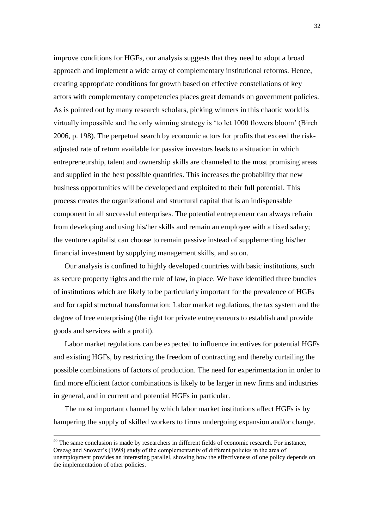improve conditions for HGFs, our analysis suggests that they need to adopt a broad approach and implement a wide array of complementary institutional reforms. Hence, creating appropriate conditions for growth based on effective constellations of key actors with complementary competencies places great demands on government policies. As is pointed out by many research scholars, picking winners in this chaotic world is virtually impossible and the only winning strategy is ‗to let 1000 flowers bloom' (Birch 2006, p. 198). The perpetual search by economic actors for profits that exceed the riskadjusted rate of return available for passive investors leads to a situation in which entrepreneurship, talent and ownership skills are channeled to the most promising areas and supplied in the best possible quantities. This increases the probability that new business opportunities will be developed and exploited to their full potential. This process creates the organizational and structural capital that is an indispensable component in all successful enterprises. The potential entrepreneur can always refrain from developing and using his/her skills and remain an employee with a fixed salary; the venture capitalist can choose to remain passive instead of supplementing his/her financial investment by supplying management skills, and so on.

Our analysis is confined to highly developed countries with basic institutions, such as secure property rights and the rule of law, in place. We have identified three bundles of institutions which are likely to be particularly important for the prevalence of HGFs and for rapid structural transformation: Labor market regulations, the tax system and the degree of free enterprising (the right for private entrepreneurs to establish and provide goods and services with a profit).

Labor market regulations can be expected to influence incentives for potential HGFs and existing HGFs, by restricting the freedom of contracting and thereby curtailing the possible combinations of factors of production. The need for experimentation in order to find more efficient factor combinations is likely to be larger in new firms and industries in general, and in current and potential HGFs in particular.

The most important channel by which labor market institutions affect HGFs is by hampering the supply of skilled workers to firms undergoing expansion and/or change.

1

 $40$  The same conclusion is made by researchers in different fields of economic research. For instance, Orszag and Snower's (1998) study of the complementarity of different policies in the area of unemployment provides an interesting parallel, showing how the effectiveness of one policy depends on the implementation of other policies.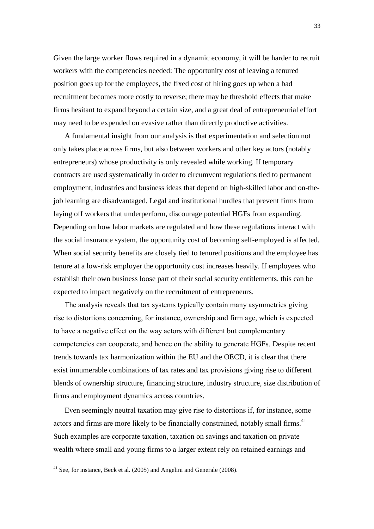Given the large worker flows required in a dynamic economy, it will be harder to recruit workers with the competencies needed: The opportunity cost of leaving a tenured position goes up for the employees, the fixed cost of hiring goes up when a bad recruitment becomes more costly to reverse; there may be threshold effects that make firms hesitant to expand beyond a certain size, and a great deal of entrepreneurial effort may need to be expended on evasive rather than directly productive activities.

A fundamental insight from our analysis is that experimentation and selection not only takes place across firms, but also between workers and other key actors (notably entrepreneurs) whose productivity is only revealed while working. If temporary contracts are used systematically in order to circumvent regulations tied to permanent employment, industries and business ideas that depend on high-skilled labor and on-thejob learning are disadvantaged. Legal and institutional hurdles that prevent firms from laying off workers that underperform, discourage potential HGFs from expanding. Depending on how labor markets are regulated and how these regulations interact with the social insurance system, the opportunity cost of becoming self-employed is affected. When social security benefits are closely tied to tenured positions and the employee has tenure at a low-risk employer the opportunity cost increases heavily. If employees who establish their own business loose part of their social security entitlements, this can be expected to impact negatively on the recruitment of entrepreneurs.

The analysis reveals that tax systems typically contain many asymmetries giving rise to distortions concerning, for instance, ownership and firm age, which is expected to have a negative effect on the way actors with different but complementary competencies can cooperate, and hence on the ability to generate HGFs. Despite recent trends towards tax harmonization within the EU and the OECD, it is clear that there exist innumerable combinations of tax rates and tax provisions giving rise to different blends of ownership structure, financing structure, industry structure, size distribution of firms and employment dynamics across countries.

Even seemingly neutral taxation may give rise to distortions if, for instance, some actors and firms are more likely to be financially constrained, notably small firms.<sup>41</sup> Such examples are corporate taxation, taxation on savings and taxation on private wealth where small and young firms to a larger extent rely on retained earnings and

 $41$  See, for instance, Beck et al. (2005) and Angelini and Generale (2008).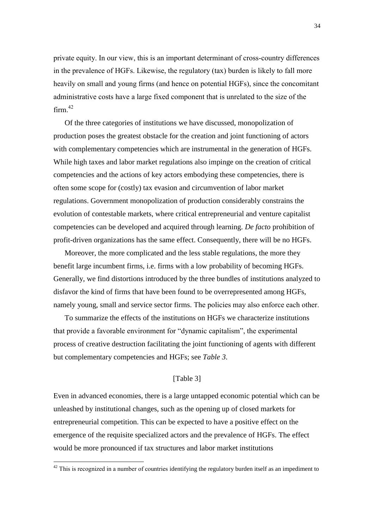private equity. In our view, this is an important determinant of cross-country differences in the prevalence of HGFs. Likewise, the regulatory (tax) burden is likely to fall more heavily on small and young firms (and hence on potential HGFs), since the concomitant administrative costs have a large fixed component that is unrelated to the size of the  $firm$ <sup>42</sup>

Of the three categories of institutions we have discussed, monopolization of production poses the greatest obstacle for the creation and joint functioning of actors with complementary competencies which are instrumental in the generation of HGFs. While high taxes and labor market regulations also impinge on the creation of critical competencies and the actions of key actors embodying these competencies, there is often some scope for (costly) tax evasion and circumvention of labor market regulations. Government monopolization of production considerably constrains the evolution of contestable markets, where critical entrepreneurial and venture capitalist competencies can be developed and acquired through learning. *De facto* prohibition of profit-driven organizations has the same effect. Consequently, there will be no HGFs.

Moreover, the more complicated and the less stable regulations, the more they benefit large incumbent firms, i.e. firms with a low probability of becoming HGFs. Generally, we find distortions introduced by the three bundles of institutions analyzed to disfavor the kind of firms that have been found to be overrepresented among HGFs, namely young, small and service sector firms. The policies may also enforce each other.

To summarize the effects of the institutions on HGFs we characterize institutions that provide a favorable environment for "dynamic capitalism", the experimental process of creative destruction facilitating the joint functioning of agents with different but complementary competencies and HGFs; see *Table 3*.

#### [Table 3]

Even in advanced economies, there is a large untapped economic potential which can be unleashed by institutional changes, such as the opening up of closed markets for entrepreneurial competition. This can be expected to have a positive effect on the emergence of the requisite specialized actors and the prevalence of HGFs. The effect would be more pronounced if tax structures and labor market institutions

 $42$  This is recognized in a number of countries identifying the regulatory burden itself as an impediment to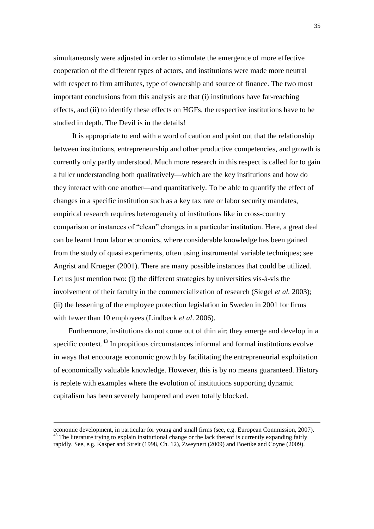simultaneously were adjusted in order to stimulate the emergence of more effective cooperation of the different types of actors, and institutions were made more neutral with respect to firm attributes, type of ownership and source of finance. The two most important conclusions from this analysis are that (i) institutions have far-reaching effects, and (ii) to identify these effects on HGFs, the respective institutions have to be studied in depth. The Devil is in the details!

It is appropriate to end with a word of caution and point out that the relationship between institutions, entrepreneurship and other productive competencies, and growth is currently only partly understood. Much more research in this respect is called for to gain a fuller understanding both qualitatively—which are the key institutions and how do they interact with one another—and quantitatively. To be able to quantify the effect of changes in a specific institution such as a key tax rate or labor security mandates, empirical research requires heterogeneity of institutions like in cross-country comparison or instances of "clean" changes in a particular institution. Here, a great deal can be learnt from labor economics, where considerable knowledge has been gained from the study of quasi experiments, often using instrumental variable techniques; see Angrist and Krueger (2001). There are many possible instances that could be utilized. Let us just mention two: (i) the different strategies by universities vis-à-vis the involvement of their faculty in the commercialization of research (Siegel *et al.* 2003); (ii) the lessening of the employee protection legislation in Sweden in 2001 for firms with fewer than 10 employees (Lindbeck *et al*. 2006).

Furthermore, institutions do not come out of thin air; they emerge and develop in a specific context.<sup>43</sup> In propitious circumstances informal and formal institutions evolve in ways that encourage economic growth by facilitating the entrepreneurial exploitation of economically valuable knowledge. However, this is by no means guaranteed. History is replete with examples where the evolution of institutions supporting dynamic capitalism has been severely hampered and even totally blocked.

economic development, in particular for young and small firms (see, e.g. European Commission, 2007). <sup>43</sup> The literature trying to explain institutional change or the lack thereof is currently expanding fairly rapidly. See, e.g. Kasper and Streit (1998, Ch. 12), Zweynert (2009) and Boettke and Coyne (2009).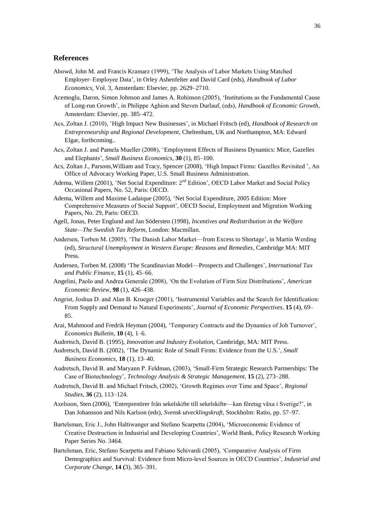#### **References**

- Abowd, John M. and Francis Kramarz (1999), ‗The Analysis of Labor Markets Using Matched Employer–Employee Data', in Orley Ashenfelter and David Card (eds), *Handbook of Labor Economics*, Vol. 3, Amsterdam: Elsevier, pp. 2629–2710.
- Acemoglu, Daron, Simon Johnson and James A. Robinson (2005), 'Institutions as the Fundamental Cause of Long-run Growth', in Philippe Aghion and Steven Durlauf, (eds), *Handbook of Economic Growth*, Amsterdam: Elsevier, pp. 385–472.
- Acs, Zoltan J. (2010), 'High Impact New Businesses', in Michael Fritsch (ed), *Handbook of Research on Entrepreneurship and Regional Development*, Cheltenham, UK and Northampton, MA: Edward Elgar, forthcoming..
- Acs, Zoltan J. and Pamela Mueller (2008), ‗Employment Effects of Business Dynamics: Mice, Gazelles and Elephants', *Small Business Economics*, **30** (1), 85–100.
- Acs, Zoltan J., Parsons,William and Tracy, Spencer (2008), ‗High Impact Firms: Gazelles Revisited ', An Office of Advocacy Working Paper, U.S. Small Business Administration.
- Adema, Willem (2001), 'Net Social Expenditure: 2<sup>nd</sup> Edition', OECD Labor Market and Social Policy Occasional Papers, No. 52, Paris: OECD.
- Adema, Willem and Maxime Ladaique (2005), 'Net Social Expenditure, 2005 Edition: More Comprehensive Measures of Social Support', OECD Social, Employment and Migration Working Papers, No. 29, Paris: OECD.
- Agell, Jonas, Peter Englund and Jan Södersten (1998), *Incentives and Redistribution in the Welfare State—The Swedish Tax Reform*, London: Macmillan.
- Andersen, Torben M. (2005), 'The Danish Labor Market—from Excess to Shortage', in Martin Werding (ed), *Structural Unemployment in Western Europe: Reasons and Remedies*, Cambridge MA: MIT Press.
- Andersen, Torben M. (2008) ‗The Scandinavian Model—Prospects and Challenges', *International Tax and Public Finance,* **15** (1), 45–66.
- Angelini, Paolo and Andrea Generale (2008), 'On the Evolution of Firm Size Distributions', *American Economic Review,* **98** (1), 426–438.
- Angrist, Joshua D. and Alan B. Krueger (2001), 'Instrumental Variables and the Search for Identification: From Supply and Demand to Natural Experiments', *Journal of Economic Perspectives*, **15** (4), 69– 85.
- Arai, Mahmood and Fredrik Heyman (2004), 'Temporary Contracts and the Dynamics of Job Turnover', *Economics Bulletin*, **10** (4), 1–6.
- Audretsch, David B. (1995), *Innovation and Industry Evolution*, Cambridge, MA: MIT Press.
- Audretsch, David B. (2002), ‗The Dynamic Role of Small Firms: Evidence from the U.S.', *Small Business Economics,* **18** (1), 13–40.
- Audretsch, David B. and Maryann P. Feldman, (2003), ‗Small-Firm Strategic Research Partnerships: The Case of Biotechnology', *Technology Analysis & Strategic Management,* **15** (2), 273–288.
- Audretsch, David B. and Michael Fritsch, (2002), ‗Growth Regimes over Time and Space', *Regional Studies,* **36** (2), 113–124.
- Axelsson, Sten (2006), ‗Entreprenörer från sekelskifte till sekelskifte—kan företag växa i Sverige?', in Dan Johansson and Nils Karlson (eds), *Svensk utvecklingskraft*, Stockholm: Ratio, pp. 57–97.
- Bartelsman, Eric J., John Haltiwanger and Stefano Scarpetta (2004), 'Microeconomic Evidence of Creative Destruction in Industrial and Developing Countries', World Bank, Policy Research Working Paper Series No. 3464.
- Bartelsman, Eric, Stefano Scarpetta and Fabiano Schivardi (2005), ‗Comparative Analysis of Firm Demographics and Survival: Evidence from Micro-level Sources in OECD Countries', *Industrial and Corporate Change*, **14 (**3), 365–391.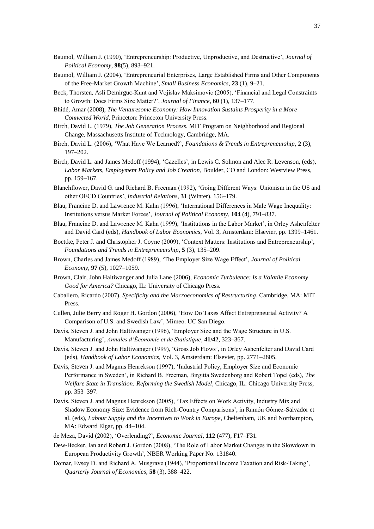- Baumol, William J. (1990), ‗Entrepreneurship: Productive, Unproductive, and Destructive', *Journal of Political Economy*, **98**(5), 893–921.
- Baumol, William J. (2004), ‗Entrepreneurial Enterprises, Large Established Firms and Other Components of the Free-Market Growth Machine', *Small Business Economics*, **23** (1), 9–21.
- Beck, Thorsten, Asli Demirgüc-Kunt and Vojislav Maksimovic (2005), 'Financial and Legal Constraints to Growth: Does Firms Size Matter?', *Journal of Finance*, **60** (1), 137–177.
- Bhidé, Amar (2008), *The Venturesome Economy: How Innovation Sustains Prosperity in a More Connected World*, Princeton: Princeton University Press.
- Birch, David L. (1979), *The Job Generation Process*. MIT Program on Neighborhood and Regional Change, Massachusetts Institute of Technology, Cambridge, MA.
- Birch, David L. (2006), ‗What Have We Learned?', *Foundations & Trends in Entrepreneurship*, **2** (3), 197–202.
- Birch, David L. and James Medoff (1994), 'Gazelles', in Lewis C. Solmon and Alec R. Levenson, (eds), *Labor Markets, Employment Policy and Job Creation*, Boulder, CO and London: Westview Press, pp. 159–167.
- Blanchflower, David G. and Richard B. Freeman (1992), ‗Going Different Ways: Unionism in the US and other OECD Countries', *Industrial Relations*, **31** (Winter), 156–179.
- Blau, Francine D. and Lawrence M. Kahn (1996), 'International Differences in Male Wage Inequality: Institutions versus Market Forces', *Journal of Political Economy*, **104** (4), 791–837.
- Blau, Francine D. and Lawrence M. Kahn (1999), 'Institutions in the Labor Market', in Orley Ashenfelter and David Card (eds), *Handbook of Labor Economics*, Vol. 3, Amsterdam: Elsevier, pp. 1399–1461.
- Boettke, Peter J. and Christopher J. Coyne (2009), ‗Context Matters: Institutions and Entrepreneurship', *Foundations and Trends in Entrepreneurship*, **5** (3), 135–209.
- Brown, Charles and James Medoff (1989), ‗The Employer Size Wage Effect', *Journal of Political Economy*, **97** (5), 1027–1059.
- Brown, Clair, John Haltiwanger and Julia Lane (2006), *Economic Turbulence: Is a Volatile Economy Good for America?* Chicago, IL: University of Chicago Press.
- Caballero, Ricardo (2007), *Specificity and the Macroeconomics of Restructuring*. Cambridge, MA: MIT Press.
- Cullen, Julie Berry and Roger H. Gordon (2006), 'How Do Taxes Affect Entrepreneurial Activity? A Comparison of U.S. and Swedish Law', Mimeo. UC San Diego.
- Davis, Steven J. and John Haltiwanger (1996), 'Employer Size and the Wage Structure in U.S. Manufacturing', *Annales d'Économie et de Statistique*, **41/42**, 323–367.
- Davis, Steven J. and John Haltiwanger (1999), ‗Gross Job Flows', in Orley Ashenfelter and David Card (eds), *Handbook of Labor Economics*, Vol. 3, Amsterdam: Elsevier, pp. 2771–2805.
- Davis, Steven J. and Magnus Henrekson (1997), 'Industrial Policy, Employer Size and Economic Performance in Sweden', in Richard B. Freeman, Birgitta Swedenborg and Robert Topel (eds), *The Welfare State in Transition: Reforming the Swedish Model*, Chicago, IL: Chicago University Press, pp. 353–397.
- Davis, Steven J. and Magnus Henrekson (2005), ‗Tax Effects on Work Activity, Industry Mix and Shadow Economy Size: Evidence from Rich-Country Comparisons', in Ramón Gómez-Salvador et al. (eds), *Labour Supply and the Incentives to Work in Europe*, Cheltenham, UK and Northampton, MA: Edward Elgar, pp. 44–104.
- de Meza, David (2002), ‗Overlending?', *Economic Journal*, **112** (477), F17–F31.
- Dew-Becker, Ian and Robert J. Gordon (2008), 'The Role of Labor Market Changes in the Slowdown in European Productivity Growth', NBER Working Paper No. 131840.
- Domar, Evsey D. and Richard A. Musgrave (1944), ‗Proportional Income Taxation and Risk-Taking', *Quarterly Journal of Economics*, **58** (3), 388–422.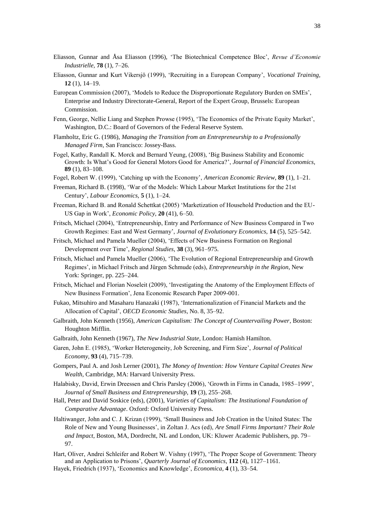- Eliasson, Gunnar and Åsa Eliasson (1996), ‗The Biotechnical Competence Bloc', *Revue d'Economie Industrielle,* **78** (1), 7–26.
- Eliasson, Gunnar and Kurt Vikersjö (1999), ‗Recruiting in a European Company', *Vocational Training,* **12** (1), 14–19.
- European Commission (2007), ‗Models to Reduce the Disproportionate Regulatory Burden on SMEs', Enterprise and Industry Directorate-General, Report of the Expert Group, Brussels: European Commission.
- Fenn, George, Nellie Liang and Stephen Prowse (1995), 'The Economics of the Private Equity Market', Washington, D.C.: Board of Governors of the Federal Reserve System.
- Flamholtz, Eric G. (1986), *Managing the Transition from an Entrepreneurship to a Professionally Managed Firm*, San Francisco: Jossey-Bass.
- Fogel, Kathy, Randall K. Morck and Bernard Yeung, (2008), 'Big Business Stability and Economic Growth: Is What's Good for General Motors Good for America?', *Journal of Financial Economics*, **89** (1), 83–108.
- Fogel, Robert W. (1999), ‗Catching up with the Economy', *American Economic Review*, **89** (1), 1–21.
- Freeman, Richard B. (1998), ‗War of the Models: Which Labour Market Institutions for the 21st Century', *Labour Economics,* **5** (1), 1–24.
- Freeman, Richard B. and Ronald Schettkat (2005) 'Marketization of Household Production and the EU-US Gap in Work', *Economic Policy,* **20** (41), 6–50.
- Fritsch, Michael (2004), ‗Entrepreneurship, Entry and Performance of New Business Compared in Two Growth Regimes: East and West Germany', *Journal of Evolutionary Economics,* **14** (5), 525–542.
- Fritsch, Michael and Pamela Mueller (2004), ‗Effects of New Business Formation on Regional Development over Time', *Regional Studies,* **38** (3), 961–975.
- Fritsch, Michael and Pamela Mueller (2006), 'The Evolution of Regional Entrepreneurship and Growth Regimes', in Michael Fritsch and Jürgen Schmude (eds), *Entrepreneurship in the Region*, New York: Springer, pp. 225–244.
- Fritsch, Michael and Florian Noseleit (2009), 'Investigating the Anatomy of the Employment Effects of New Business Formation', Jena Economic Research Paper 2009-001.
- Fukao, Mitsuhiro and Masaharu Hanazaki (1987), 'Internationalization of Financial Markets and the Allocation of Capital', *OECD Economic Studies*, No. 8, 35–92.
- Galbraith, John Kenneth (1956), *American Capitalism: The Concept of Countervailing Power*, Boston: Houghton Mifflin.
- Galbraith, John Kenneth (1967), *The New Industrial State*, London: Hamish Hamilton.
- Garen, John E. (1985), ‗Worker Heterogeneity, Job Screening, and Firm Size', *Journal of Political Economy,* **93** (4), 715–739.
- Gompers, Paul A. and Josh Lerner (2001), *The Money of Invention: How Venture Capital Creates New Wealth*, Cambridge, MA: Harvard University Press.
- Halabisky, David, Erwin Dreessen and Chris Parsley (2006), ‗Growth in Firms in Canada, 1985–1999', *Journal of Small Business and Entrepreneurship,* **19** (3), 255–268.
- Hall, Peter and David Soskice (eds), (2001), *Varieties of Capitalism: The Institutional Foundation of Comparative Advantage*. Oxford: Oxford University Press.
- Haltiwanger, John and C. J. Krizan (1999), 'Small Business and Job Creation in the United States: The Role of New and Young Businesses', in Zoltan J. Acs (ed), *Are Small Firms Important? Their Role and Impact*, Boston, MA, Dordrecht, NL and London, UK: Kluwer Academic Publishers, pp. 79– 97.
- Hart, Oliver, Andrei Schleifer and Robert W. Vishny (1997), ‗The Proper Scope of Government: Theory and an Application to Prisons', *Quarterly Journal of Economics,* **112** (4), 1127–1161. Hayek, Friedrich (1937), ‗Economics and Knowledge', *Economica,* **4** (1), 33–54.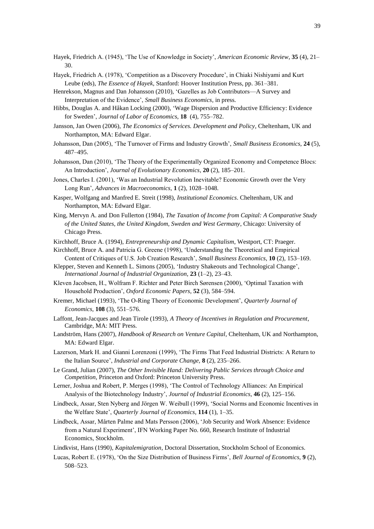- Hayek, Friedrich A. (1945), ‗The Use of Knowledge in Society', *American Economic Review*, **35** (4), 21– 30.
- Hayek, Friedrich A. (1978), ‗Competition as a Discovery Procedure', in Chiaki Nishiyami and Kurt Leube (eds), *The Essence of Hayek*, Stanford: Hoover Institution Press, pp. 361–381.
- Henrekson, Magnus and Dan Johansson (2010), ‗Gazelles as Job Contributors—A Survey and Interpretation of the Evidence', *Small Business Economics*, in press.
- Hibbs, Douglas A. and Håkan Locking (2000), 'Wage Dispersion and Productive Efficiency: Evidence for Sweden', *Journal of Labor of Economics*, **18** (4), 755–782.
- Jansson, Jan Owen (2006), *The Economics of Services. Development and Policy*, Cheltenham, UK and Northampton, MA: Edward Elgar.
- Johansson, Dan (2005), ‗The Turnover of Firms and Industry Growth', *Small Business Economics,* **24** (5), 487–495.
- Johansson, Dan (2010), 'The Theory of the Experimentally Organized Economy and Competence Blocs: An Introduction', *Journal of Evolutionary Economics*, **20** (2), 185–201.
- Jones, Charles I. (2001), ‗Was an Industrial Revolution Inevitable? Economic Growth over the Very Long Run', *Advances in Macroeconomics,* **1** (2), 1028–1048.
- Kasper, Wolfgang and Manfred E. Streit (1998), *Institutional Economics*. Cheltenham, UK and Northampton, MA: Edward Elgar.
- King, Mervyn A. and Don Fullerton (1984), *The Taxation of Income from Capital: A Comparative Study of the United States, the United Kingdom, Sweden and West Germany*, Chicago: University of Chicago Press.
- Kirchhoff, Bruce A. (1994), *Entrepreneurship and Dynamic Capitalism*, Westport, CT: Praeger.
- Kirchhoff, Bruce A. and Patricia G. Greene (1998), ‗Understanding the Theoretical and Empirical Content of Critiques of U.S. Job Creation Research', *Small Business Economics*, **10** (2), 153–169.
- Klepper, Steven and Kenneth L. Simons (2005), 'Industry Shakeouts and Technological Change', *International Journal of Industrial Organization,* **23** (1–2), 23–43.
- Kleven Jacobsen, H., Wolfram F. Richter and Peter Birch Sørensen (2000), 'Optimal Taxation with Household Production', *Oxford Economic Papers,* **52** (3), 584–594.
- Kremer, Michael (1993), 'The O-Ring Theory of Economic Development', *Quarterly Journal of Economics,* **108** (3), 551–576.
- Laffont, Jean-Jacques and Jean Tirole (1993), *A Theory of Incentives in Regulation and Procurement*, Cambridge, MA: MIT Press.
- Landström, Hans (2007), *Handbook of Research on Venture Capital*, Cheltenham, UK and Northampton, MA: Edward Elgar.
- Lazerson, Mark H. and Gianni Lorenzoni (1999), ‗The Firms That Feed Industrial Districts: A Return to the Italian Source', *Industrial and Corporate Change,* **8** (2), 235–266.
- Le Grand, Julian (2007), *The Other Invisible Hand: Delivering Public Services through Choice and Competition*, Princeton and Oxford: Princeton University Press.
- Lerner, Joshua and Robert, P. Merges (1998), ‗The Control of Technology Alliances: An Empirical Analysis of the Biotechnology Industry', *Journal of Industrial Economics,* **46** (2), 125–156.
- Lindbeck, Assar, Sten Nyberg and Jörgen W. Weibull (1999), ‗Social Norms and Economic Incentives in the Welfare State', *Quarterly Journal of Economics*, **114** (1), 1–35.
- Lindbeck, Assar, Mårten Palme and Mats Persson (2006), 'Job Security and Work Absence: Evidence from a Natural Experiment', IFN Working Paper No. 660, Research Institute of Industrial Economics, Stockholm.
- Lindkvist, Hans (1990), *Kapitalemigration*, Doctoral Dissertation, Stockholm School of Economics.
- Lucas, Robert E. (1978), 'On the Size Distribution of Business Firms', *Bell Journal of Economics*, **9** (2), 508–523.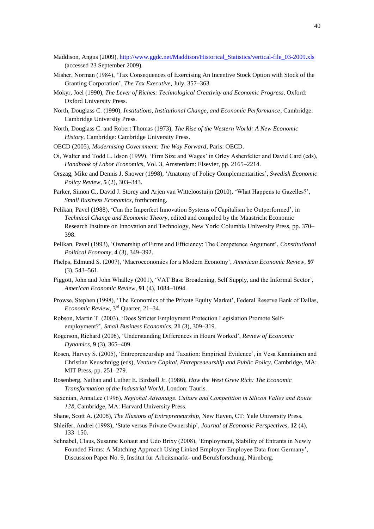- Maddison, Angus (2009), [http://www.ggdc.net/Maddison/Historical\\_Statistics/vertical-file\\_03-2009.xls](http://www.ggdc.net/Maddison/Historical_Statistics/vertical-file_03-2009.xls) (accessed 23 September 2009).
- Misher, Norman (1984), 'Tax Consequences of Exercising An Incentive Stock Option with Stock of the Granting Corporation', *The Tax Executive*, July, 357–363.
- Mokyr, Joel (1990), *The Lever of Riches: Technological Creativity and Economic Progress*, Oxford: Oxford University Press.
- North, Douglass C. (1990), *Institutions, Institutional Change, and Economic Performance*, Cambridge: Cambridge University Press.
- North, Douglass C. and Robert Thomas (1973), *The Rise of the Western World: A New Economic History*, Cambridge: Cambridge University Press.
- OECD (2005), *Modernising Government: The Way Forward*, Paris: OECD.
- Oi, Walter and Todd L. Idson (1999), ‗Firm Size and Wages' in Orley Ashenfelter and David Card (eds), *Handbook of Labor Economics*, Vol. 3, Amsterdam: Elsevier, pp. 2165–2214.
- Orszag, Mike and Dennis J. Snower (1998), ‗Anatomy of Policy Complementarities', *Swedish Economic Policy Review*, **5** (2), 303–343.
- Parker, Simon C., David J. Storey and Arjen van Witteloostuijn (2010), 'What Happens to Gazelles?', *Small Business Economics*, forthcoming.
- Pelikan, Pavel (1988), 'Can the Imperfect Innovation Systems of Capitalism be Outperformed', in *Technical Change and Economic Theory*, edited and compiled by the Maastricht Economic Research Institute on Innovation and Technology, New York: Columbia University Press, pp. 370– 398.
- Pelikan, Pavel (1993), 'Ownership of Firms and Efficiency: The Competence Argument', *Constitutional Political Economy,* **4** (3), 349–392.
- Phelps, Edmund S. (2007), ‗Macroeconomics for a Modern Economy', *American Economic Review,* **97** (3), 543–561.
- Piggott, John and John Whalley (2001), ‗VAT Base Broadening, Self Supply, and the Informal Sector', *American Economic Review,* **91** (4), 1084–1094.
- Prowse, Stephen (1998), 'The Economics of the Private Equity Market', Federal Reserve Bank of Dallas, *Economic Review,* 3 rd Quarter, 21–34.
- Robson, Martin T. (2003), ‗Does Stricter Employment Protection Legislation Promote Selfemployment?', *Small Business Economics,* **21** (3), 309–319.
- Rogerson, Richard (2006), 'Understanding Differences in Hours Worked', *Review of Economic Dynamics,* **9** (3), 365–409.
- Rosen, Harvey S. (2005), ‗Entrepreneurship and Taxation: Empirical Evidence', in Vesa Kanniainen and Christian Keuschnigg (eds), *Venture Capital, Entrepreneurship and Public Policy*, Cambridge, MA: MIT Press, pp. 251–279.
- Rosenberg, Nathan and Luther E. Birdzell Jr. (1986), *How the West Grew Rich: The Economic Transformation of the Industrial World*, London: Tauris.
- Saxenian, AnnaLee (1996), *Regional Advantage. Culture and Competition in Silicon Valley and Route 128*, Cambridge, MA: Harvard University Press.
- Shane, Scott A. (2008), *The Illusions of Entrepreneurship*, New Haven, CT: Yale University Press.
- Shleifer, Andrei (1998), 'State versus Private Ownership', *Journal of Economic Perspectives*, **12** (4), 133–150.
- Schnabel, Claus, Susanne Kohaut and Udo Brixy (2008), ‗Employment, Stability of Entrants in Newly Founded Firms: A Matching Approach Using Linked Employer-Employee Data from Germany', Discussion Paper No. 9, Institut für Arbeitsmarkt- und Berufsforschung, Nürnberg.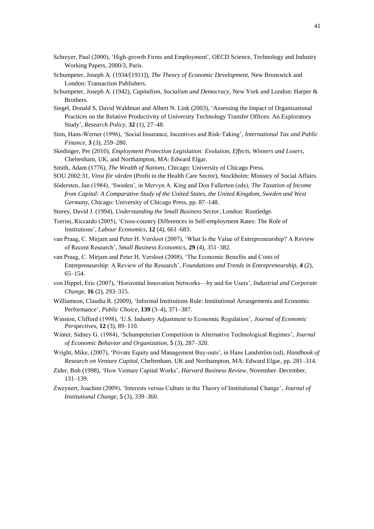- Schreyer, Paul (2000), ‗High-growth Firms and Employment', OECD Science, Technology and Industry Working Papers, 2000/3, Paris.
- Schumpeter, Joseph A. (1934/[1911]), *The Theory of Economic Development*, New Brunswick and London: Transaction Publishers.
- Schumpeter, Joseph A. (1942), *Capitalism, Socialism and Democracy*, New York and London: Harper & Brothers.
- Siegel, Donald S, David Waldman and Albert N. Link (2003), ‗Assessing the Impact of Organizational Practices on the Relative Productivity of University Technology Transfer Offices: An Exploratory Study', *Research Policy*, **32** (1), 27–48.
- Sinn, Hans-Werner (1996), ‗Social Insurance, Incentives and Risk-Taking', *International Tax and Public Finance,* **3** (3), 259–280.
- Skedinger, Per (2010), *Employment Protection Legislation: Evolution, Effects, Winners and Losers*, Cheltenham, UK, and Northampton, MA: Edward Elgar.
- Smith, Adam (1776), *The Wealth of Nations*, Chicago: University of Chicago Press.
- SOU 2002:31, *Vinst för vården* (Profit in the Health Care Sector), Stockholm: Ministry of Social Affairs.
- Södersten, Jan (1984), ‗Sweden', in Mervyn A. King and Don Fullerton (eds), *The Taxation of Income from Capital: A Comparative Study of the United States, the United Kingdom, Sweden and West Germany,* Chicago: University of Chicago Press, pp. 87–148.
- Storey, David J. (1994), *Understanding the Small Business Sector*, London: Routledge.
- Torrini, Riccardo (2005), 'Cross-country Differences in Self-employment Rates: The Role of Institutions', *Labour Economics*, **12** (4), 661–683.
- van Praag, C. Mirjam and Peter H. Versloot (2007), ‗What Is the Value of Entrepreneurship? A Review of Recent Research', *Small Business Economics,* **29** (4), 351–382.
- van Praag, C. Mirjam and Peter H. Versloot (2008), ‗The Economic Benefits and Costs of Entrepreneurship: A Review of the Research', *Foundations and Trends in Entrepreneurship,* **4** (2), 65–154.
- von Hippel, Eric (2007), ‗Horizontal Innovation Networks—by and for Users', *Industrial and Corporate Change,* **16** (2), 293–315.
- Williamson, Claudia R. (2009), 'Informal Institutions Rule: Institutional Arrangements and Economic Performance', *Public Choice*, **139** (3–4), 371–387.
- Winston, Clifford (1998), ‗U.S. Industry Adjustment to Economic Regulation', *Journal of Economic Perspectives,* **12** (3), 89–110.
- Winter, Sidney G. (1984), ‗Schumpeterian Competition in Alternative Technological Regimes', *Journal of Economic Behavior and Organization*, **5** (3), 287–320.
- Wright, Mike, (2007), ‗Private Equity and Management Buy-outs', in Hans Landström (ed), *Handbook of Research on Venture Capital*, Cheltenham, UK and Northampton, MA: Edward Elgar, pp. 281–314.
- Zider, Bob (1998), 'How Venture Capital Works', *Harvard Business Review*, November–December, 131–139.
- Zweynert, Joachim (2009), 'Interests versus Culture in the Theory of Institutional Change', *Journal of Institutional Change*, **5** (3), 339–360.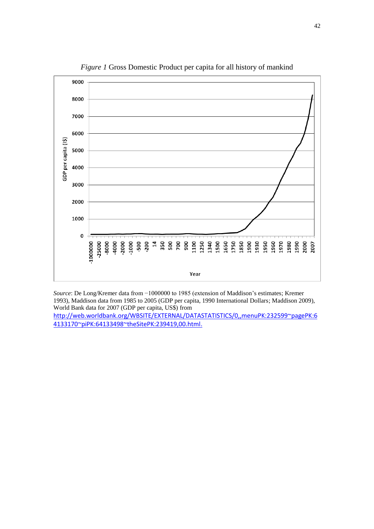

*Figure 1* Gross Domestic Product per capita for all history of mankind

*Source*: De Long/Kremer data from −1000000 to 1985 (extension of Maddison's estimates; Kremer 1993), Maddison data from 1985 to 2005 (GDP per capita, 1990 International Dollars; Maddison 2009), World Bank data for 2007 (GDP per capita, US\$) from

[http://web.worldbank.org/WBSITE/EXTERNAL/DATASTATISTICS/0,,menuPK:232599~pagePK:6](http://web.worldbank.org/WBSITE/EXTERNAL/DATASTATISTICS/0,,menuPK:232599~pagePK:64133170~piPK:64133498~theSitePK:239419,00.html) [4133170~piPK:64133498~theSitePK:239419,00.html.](http://web.worldbank.org/WBSITE/EXTERNAL/DATASTATISTICS/0,,menuPK:232599~pagePK:64133170~piPK:64133498~theSitePK:239419,00.html)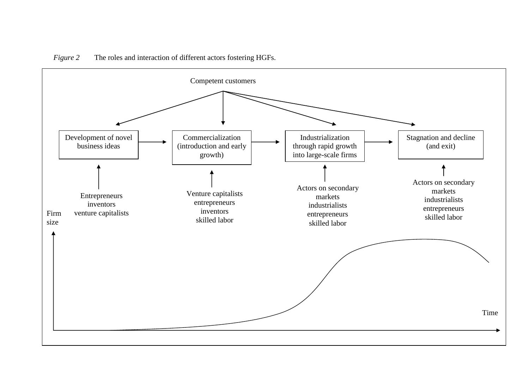

*Figure 2* The roles and interaction of different actors fostering HGFs.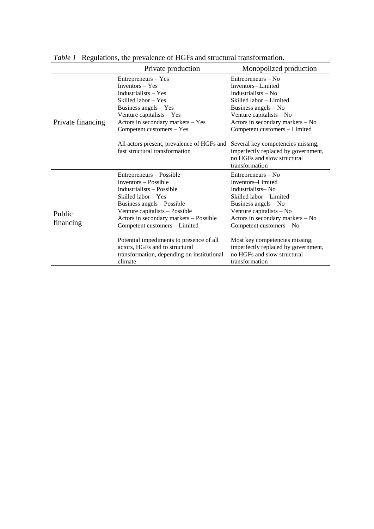|                     | Private production                                                                                                                                                                                                                                                                          | Monopolized production                                                                                                                                                                                                                          |
|---------------------|---------------------------------------------------------------------------------------------------------------------------------------------------------------------------------------------------------------------------------------------------------------------------------------------|-------------------------------------------------------------------------------------------------------------------------------------------------------------------------------------------------------------------------------------------------|
| Private financing   | Entrepreneurs – Yes<br>Inventors – Yes<br>Industrialists – Yes<br>Skilled labor – Yes<br>Business angels $-$ Yes<br>Venture capitalists - Yes<br>Actors in secondary markets - Yes<br>Competent customers - Yes                                                                             | Entrepreneurs - No<br>Inventors-Limited<br>Industrialists $-$ No<br>Skilled labor – Limited<br>Business angels $-$ No<br>Venture capitalists - No<br>Actors in secondary markets - No<br>Competent customers - Limited                          |
|                     | All actors present, prevalence of HGFs and<br>fast structural transformation                                                                                                                                                                                                                | Several key competencies missing,<br>imperfectly replaced by government,<br>no HGFs and slow structural<br>transformation                                                                                                                       |
| Public<br>financing | Entrepreneurs – Possible<br>Inventors - Possible<br>Industrialists – Possible<br>Skilled labor – Yes<br>Business angels – Possible<br>Venture capitalists - Possible<br>Actors in secondary markets - Possible<br>Competent customers - Limited<br>Potential impediments to presence of all | Entrepreneurs – No<br>Inventors-Limited<br>Industrialists-No<br>Skilled labor – Limited<br>Business angels $-$ No<br>Venture capitalists - No<br>Actors in secondary markets - No<br>Competent customers - No<br>Most key competencies missing, |
|                     | actors, HGFs and to structural<br>transformation, depending on institutional<br>climate                                                                                                                                                                                                     | imperfectly replaced by government,<br>no HGFs and slow structural<br>transformation                                                                                                                                                            |

*Table 1* Regulations, the prevalence of HGFs and structural transformation.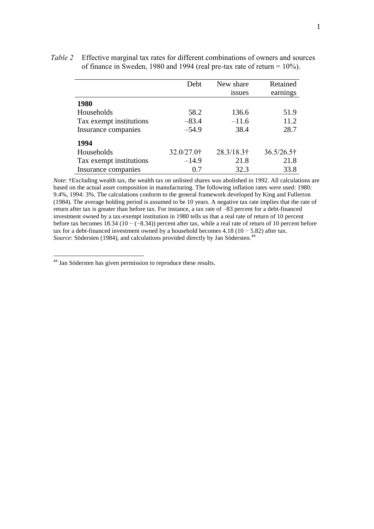|                         | Debt       | New share  | Retained   |
|-------------------------|------------|------------|------------|
|                         |            | issues     | earnings   |
| 1980                    |            |            |            |
| Households              | 58.2       | 136.6      | 51.9       |
| Tax exempt institutions | $-83.4$    | $-11.6$    | 11.2       |
| Insurance companies     | $-54.9$    | 38.4       | 28.7       |
| 1994                    |            |            |            |
| Households              | 32.0/27.0† | 28.3/18.3† | 36.5/26.5† |
| Tax exempt institutions | $-14.9$    | 21.8       | 21.8       |
| Insurance companies     | 0.7        | 32.3       | 33.8       |

| Table 2 Effective marginal tax rates for different combinations of owners and sources |
|---------------------------------------------------------------------------------------|
| of finance in Sweden, 1980 and 1994 (real pre-tax rate of return $= 10\%$ ).          |

*Note*: †Excluding wealth tax, the wealth tax on unlisted shares was abolished in 1992. All calculations are based on the actual asset composition in manufacturing. The following inflation rates were used: 1980: 9.4%, 1994: 3%. The calculations conform to the general framework developed by King and Fullerton (1984). The average holding period is assumed to be 10 years. A negative tax rate implies that the rate of return after tax is greater than before tax. For instance, a tax rate of –83 percent for a debt-financed investment owned by a tax-exempt institution in 1980 tells us that a real rate of return of 10 percent before tax becomes 18.34 (10 – (–8.34)) percent after tax, while a real rate of return of 10 percent before tax for a debt-financed investment owned by a household becomes 4.18 (10 − 5.82) after tax. *Source*: Södersten (1984), and calculations provided directly by Jan Södersten.<sup>44</sup>

 $44$  Jan Södersten has given permission to reproduce these results.